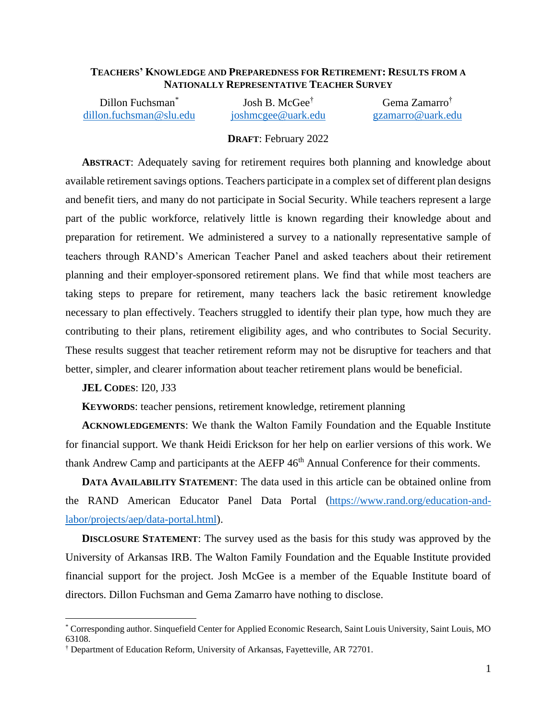### **TEACHERS' KNOWLEDGE AND PREPAREDNESS FOR RETIREMENT: RESULTS FROM A NATIONALLY REPRESENTATIVE TEACHER SURVEY**

Dillon Fuchsman<sup>\*</sup> [dillon.fuchsman@slu.edu](mailto:dsfuchsm@uark.edu) [joshmcgee@uark.edu](mailto:joshmcgee@uark.edu) [gzamarro@uark.edu](mailto:gzamarro@uark.edu)

Josh B. McGee† Gema Zamarro†

### **DRAFT**: February 2022

**ABSTRACT**: Adequately saving for retirement requires both planning and knowledge about available retirement savings options. Teachers participate in a complex set of different plan designs and benefit tiers, and many do not participate in Social Security. While teachers represent a large part of the public workforce, relatively little is known regarding their knowledge about and preparation for retirement. We administered a survey to a nationally representative sample of teachers through RAND's American Teacher Panel and asked teachers about their retirement planning and their employer-sponsored retirement plans. We find that while most teachers are taking steps to prepare for retirement, many teachers lack the basic retirement knowledge necessary to plan effectively. Teachers struggled to identify their plan type, how much they are contributing to their plans, retirement eligibility ages, and who contributes to Social Security. These results suggest that teacher retirement reform may not be disruptive for teachers and that better, simpler, and clearer information about teacher retirement plans would be beneficial.

**JEL CODES**: I20, J33

**KEYWORDS**: teacher pensions, retirement knowledge, retirement planning

**ACKNOWLEDGEMENTS**: We thank the Walton Family Foundation and the Equable Institute for financial support. We thank Heidi Erickson for her help on earlier versions of this work. We thank Andrew Camp and participants at the AEFP 46<sup>th</sup> Annual Conference for their comments.

**DATA AVAILABILITY STATEMENT**: The data used in this article can be obtained online from the RAND American Educator Panel Data Portal [\(https://www.rand.org/education-and](https://www.rand.org/education-and-labor/projects/aep/data-portal.html)[labor/projects/aep/data-portal.html\)](https://www.rand.org/education-and-labor/projects/aep/data-portal.html).

**DISCLOSURE STATEMENT:** The survey used as the basis for this study was approved by the University of Arkansas IRB. The Walton Family Foundation and the Equable Institute provided financial support for the project. Josh McGee is a member of the Equable Institute board of directors. Dillon Fuchsman and Gema Zamarro have nothing to disclose.

<sup>\*</sup> Corresponding author. Sinquefield Center for Applied Economic Research, Saint Louis University, Saint Louis, MO 63108.

<sup>†</sup> Department of Education Reform, University of Arkansas, Fayetteville, AR 72701.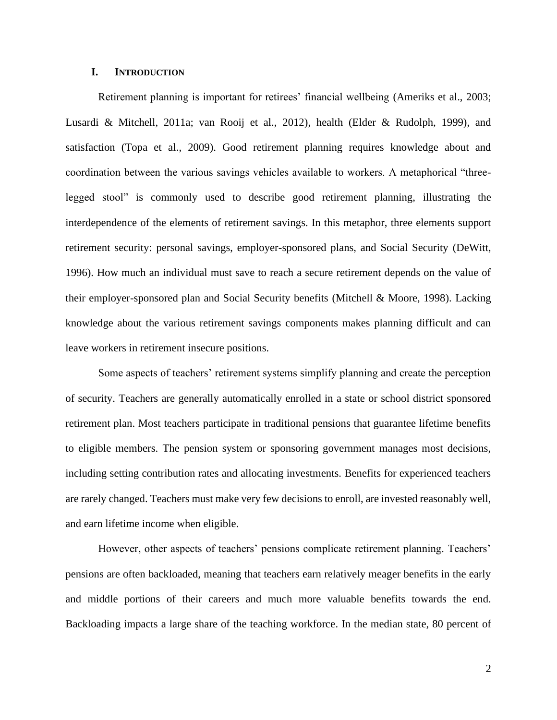### **I. INTRODUCTION**

Retirement planning is important for retirees' financial wellbeing (Ameriks et al., 2003; Lusardi & Mitchell, 2011a; van Rooij et al., 2012), health (Elder & Rudolph, 1999), and satisfaction (Topa et al., 2009). Good retirement planning requires knowledge about and coordination between the various savings vehicles available to workers. A metaphorical "threelegged stool" is commonly used to describe good retirement planning, illustrating the interdependence of the elements of retirement savings. In this metaphor, three elements support retirement security: personal savings, employer-sponsored plans, and Social Security (DeWitt, 1996). How much an individual must save to reach a secure retirement depends on the value of their employer-sponsored plan and Social Security benefits (Mitchell & Moore, 1998). Lacking knowledge about the various retirement savings components makes planning difficult and can leave workers in retirement insecure positions.

Some aspects of teachers' retirement systems simplify planning and create the perception of security. Teachers are generally automatically enrolled in a state or school district sponsored retirement plan. Most teachers participate in traditional pensions that guarantee lifetime benefits to eligible members. The pension system or sponsoring government manages most decisions, including setting contribution rates and allocating investments. Benefits for experienced teachers are rarely changed. Teachers must make very few decisions to enroll, are invested reasonably well, and earn lifetime income when eligible.

However, other aspects of teachers' pensions complicate retirement planning. Teachers' pensions are often backloaded, meaning that teachers earn relatively meager benefits in the early and middle portions of their careers and much more valuable benefits towards the end. Backloading impacts a large share of the teaching workforce. In the median state, 80 percent of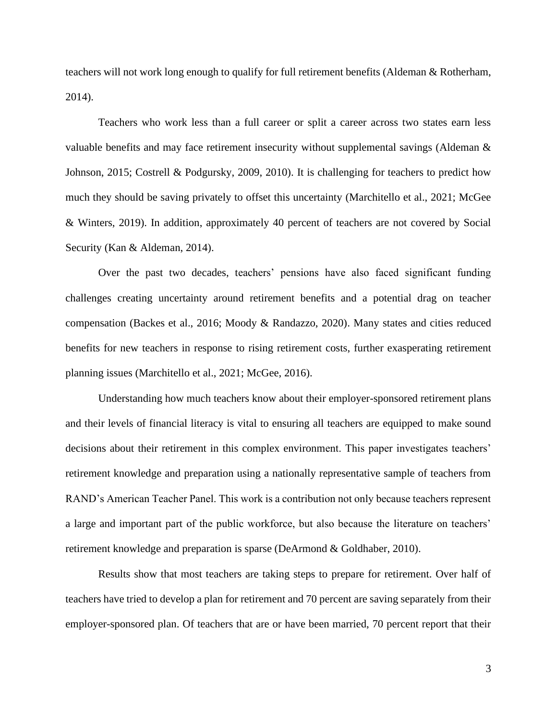teachers will not work long enough to qualify for full retirement benefits (Aldeman & Rotherham, 2014).

Teachers who work less than a full career or split a career across two states earn less valuable benefits and may face retirement insecurity without supplemental savings (Aldeman & Johnson, 2015; Costrell & Podgursky, 2009, 2010). It is challenging for teachers to predict how much they should be saving privately to offset this uncertainty (Marchitello et al., 2021; McGee & Winters, 2019). In addition, approximately 40 percent of teachers are not covered by Social Security (Kan & Aldeman, 2014).

Over the past two decades, teachers' pensions have also faced significant funding challenges creating uncertainty around retirement benefits and a potential drag on teacher compensation (Backes et al., 2016; Moody & Randazzo, 2020). Many states and cities reduced benefits for new teachers in response to rising retirement costs, further exasperating retirement planning issues (Marchitello et al., 2021; McGee, 2016).

Understanding how much teachers know about their employer-sponsored retirement plans and their levels of financial literacy is vital to ensuring all teachers are equipped to make sound decisions about their retirement in this complex environment. This paper investigates teachers' retirement knowledge and preparation using a nationally representative sample of teachers from RAND's American Teacher Panel. This work is a contribution not only because teachers represent a large and important part of the public workforce, but also because the literature on teachers' retirement knowledge and preparation is sparse (DeArmond & Goldhaber, 2010).

Results show that most teachers are taking steps to prepare for retirement. Over half of teachers have tried to develop a plan for retirement and 70 percent are saving separately from their employer-sponsored plan. Of teachers that are or have been married, 70 percent report that their

3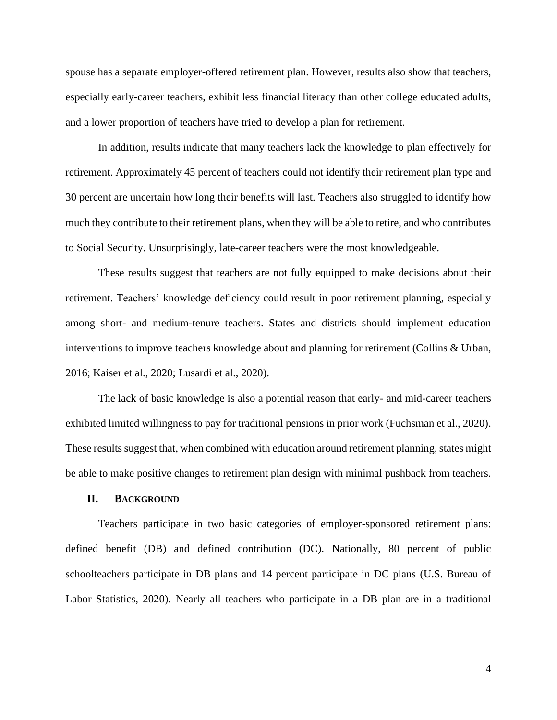spouse has a separate employer-offered retirement plan. However, results also show that teachers, especially early-career teachers, exhibit less financial literacy than other college educated adults, and a lower proportion of teachers have tried to develop a plan for retirement.

In addition, results indicate that many teachers lack the knowledge to plan effectively for retirement. Approximately 45 percent of teachers could not identify their retirement plan type and 30 percent are uncertain how long their benefits will last. Teachers also struggled to identify how much they contribute to their retirement plans, when they will be able to retire, and who contributes to Social Security. Unsurprisingly, late-career teachers were the most knowledgeable.

These results suggest that teachers are not fully equipped to make decisions about their retirement. Teachers' knowledge deficiency could result in poor retirement planning, especially among short- and medium-tenure teachers. States and districts should implement education interventions to improve teachers knowledge about and planning for retirement (Collins & Urban, 2016; Kaiser et al., 2020; Lusardi et al., 2020).

The lack of basic knowledge is also a potential reason that early- and mid-career teachers exhibited limited willingness to pay for traditional pensions in prior work (Fuchsman et al., 2020). These results suggest that, when combined with education around retirement planning, states might be able to make positive changes to retirement plan design with minimal pushback from teachers.

#### **II. BACKGROUND**

Teachers participate in two basic categories of employer-sponsored retirement plans: defined benefit (DB) and defined contribution (DC). Nationally, 80 percent of public schoolteachers participate in DB plans and 14 percent participate in DC plans (U.S. Bureau of Labor Statistics, 2020). Nearly all teachers who participate in a DB plan are in a traditional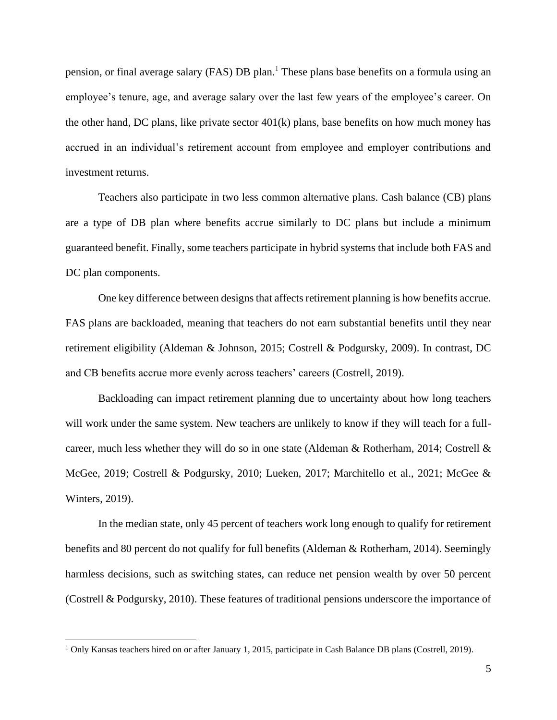pension, or final average salary (FAS) DB plan. <sup>1</sup> These plans base benefits on a formula using an employee's tenure, age, and average salary over the last few years of the employee's career. On the other hand, DC plans, like private sector  $401(k)$  plans, base benefits on how much money has accrued in an individual's retirement account from employee and employer contributions and investment returns.

Teachers also participate in two less common alternative plans. Cash balance (CB) plans are a type of DB plan where benefits accrue similarly to DC plans but include a minimum guaranteed benefit. Finally, some teachers participate in hybrid systems that include both FAS and DC plan components.

One key difference between designs that affects retirement planning is how benefits accrue. FAS plans are backloaded, meaning that teachers do not earn substantial benefits until they near retirement eligibility (Aldeman & Johnson, 2015; Costrell & Podgursky, 2009). In contrast, DC and CB benefits accrue more evenly across teachers' careers (Costrell, 2019).

Backloading can impact retirement planning due to uncertainty about how long teachers will work under the same system. New teachers are unlikely to know if they will teach for a fullcareer, much less whether they will do so in one state (Aldeman & Rotherham, 2014; Costrell & McGee, 2019; Costrell & Podgursky, 2010; Lueken, 2017; Marchitello et al., 2021; McGee & Winters, 2019).

In the median state, only 45 percent of teachers work long enough to qualify for retirement benefits and 80 percent do not qualify for full benefits (Aldeman & Rotherham, 2014). Seemingly harmless decisions, such as switching states, can reduce net pension wealth by over 50 percent (Costrell & Podgursky, 2010). These features of traditional pensions underscore the importance of

<sup>&</sup>lt;sup>1</sup> Only Kansas teachers hired on or after January 1, 2015, participate in Cash Balance DB plans (Costrell, 2019).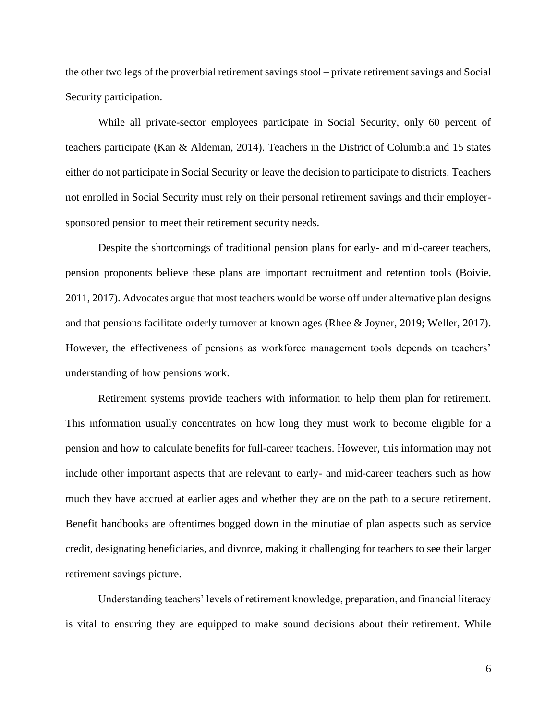the other two legs of the proverbial retirement savings stool – private retirement savings and Social Security participation.

While all private-sector employees participate in Social Security, only 60 percent of teachers participate (Kan & Aldeman, 2014). Teachers in the District of Columbia and 15 states either do not participate in Social Security or leave the decision to participate to districts. Teachers not enrolled in Social Security must rely on their personal retirement savings and their employersponsored pension to meet their retirement security needs.

Despite the shortcomings of traditional pension plans for early- and mid-career teachers, pension proponents believe these plans are important recruitment and retention tools (Boivie, 2011, 2017). Advocates argue that most teachers would be worse off under alternative plan designs and that pensions facilitate orderly turnover at known ages (Rhee & Joyner, 2019; Weller, 2017). However, the effectiveness of pensions as workforce management tools depends on teachers' understanding of how pensions work.

Retirement systems provide teachers with information to help them plan for retirement. This information usually concentrates on how long they must work to become eligible for a pension and how to calculate benefits for full-career teachers. However, this information may not include other important aspects that are relevant to early- and mid-career teachers such as how much they have accrued at earlier ages and whether they are on the path to a secure retirement. Benefit handbooks are oftentimes bogged down in the minutiae of plan aspects such as service credit, designating beneficiaries, and divorce, making it challenging for teachers to see their larger retirement savings picture.

Understanding teachers' levels of retirement knowledge, preparation, and financial literacy is vital to ensuring they are equipped to make sound decisions about their retirement. While

6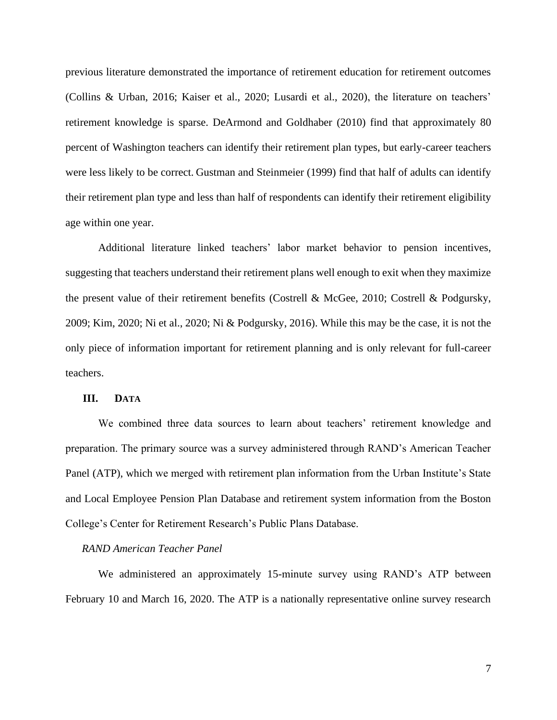previous literature demonstrated the importance of retirement education for retirement outcomes (Collins & Urban, 2016; Kaiser et al., 2020; Lusardi et al., 2020), the literature on teachers' retirement knowledge is sparse. DeArmond and Goldhaber (2010) find that approximately 80 percent of Washington teachers can identify their retirement plan types, but early-career teachers were less likely to be correct. Gustman and Steinmeier (1999) find that half of adults can identify their retirement plan type and less than half of respondents can identify their retirement eligibility age within one year.

Additional literature linked teachers' labor market behavior to pension incentives, suggesting that teachers understand their retirement plans well enough to exit when they maximize the present value of their retirement benefits (Costrell & McGee, 2010; Costrell & Podgursky, 2009; Kim, 2020; Ni et al., 2020; Ni & Podgursky, 2016). While this may be the case, it is not the only piece of information important for retirement planning and is only relevant for full-career teachers.

### **III. DATA**

We combined three data sources to learn about teachers' retirement knowledge and preparation. The primary source was a survey administered through RAND's American Teacher Panel (ATP), which we merged with retirement plan information from the Urban Institute's State and Local Employee Pension Plan Database and retirement system information from the Boston College's Center for Retirement Research's Public Plans Database.

#### *RAND American Teacher Panel*

We administered an approximately 15-minute survey using RAND's ATP between February 10 and March 16, 2020. The ATP is a nationally representative online survey research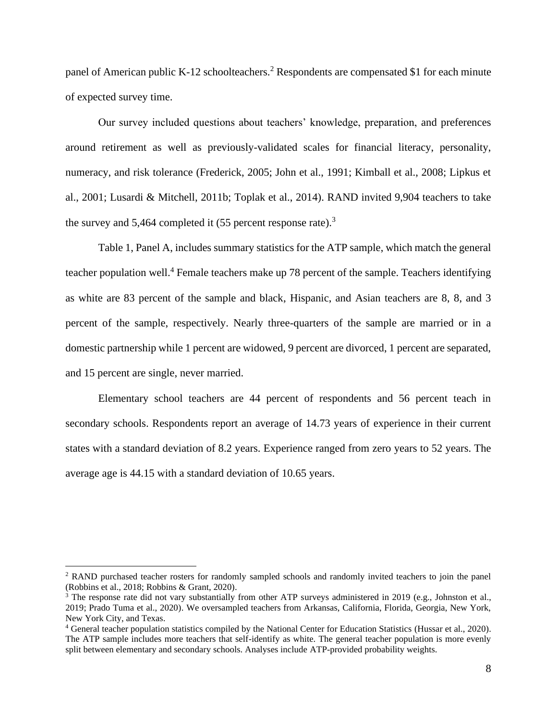panel of American public K-12 schoolteachers.<sup>2</sup> Respondents are compensated \$1 for each minute of expected survey time.

Our survey included questions about teachers' knowledge, preparation, and preferences around retirement as well as previously-validated scales for financial literacy, personality, numeracy, and risk tolerance (Frederick, 2005; John et al., 1991; Kimball et al., 2008; Lipkus et al., 2001; Lusardi & Mitchell, 2011b; Toplak et al., 2014). RAND invited 9,904 teachers to take the survey and 5,464 completed it  $(55$  percent response rate).<sup>3</sup>

Table 1, Panel A, includes summary statistics for the ATP sample, which match the general teacher population well.<sup>4</sup> Female teachers make up 78 percent of the sample. Teachers identifying as white are 83 percent of the sample and black, Hispanic, and Asian teachers are 8, 8, and 3 percent of the sample, respectively. Nearly three-quarters of the sample are married or in a domestic partnership while 1 percent are widowed, 9 percent are divorced, 1 percent are separated, and 15 percent are single, never married.

Elementary school teachers are 44 percent of respondents and 56 percent teach in secondary schools. Respondents report an average of 14.73 years of experience in their current states with a standard deviation of 8.2 years. Experience ranged from zero years to 52 years. The average age is 44.15 with a standard deviation of 10.65 years.

<sup>2</sup> RAND purchased teacher rosters for randomly sampled schools and randomly invited teachers to join the panel (Robbins et al., 2018; Robbins & Grant, 2020).

 $3$  The response rate did not vary substantially from other ATP surveys administered in 2019 (e.g., Johnston et al., 2019; Prado Tuma et al., 2020). We oversampled teachers from Arkansas, California, Florida, Georgia, New York, New York City, and Texas.

<sup>4</sup> General teacher population statistics compiled by the National Center for Education Statistics (Hussar et al., 2020). The ATP sample includes more teachers that self-identify as white. The general teacher population is more evenly split between elementary and secondary schools. Analyses include ATP-provided probability weights.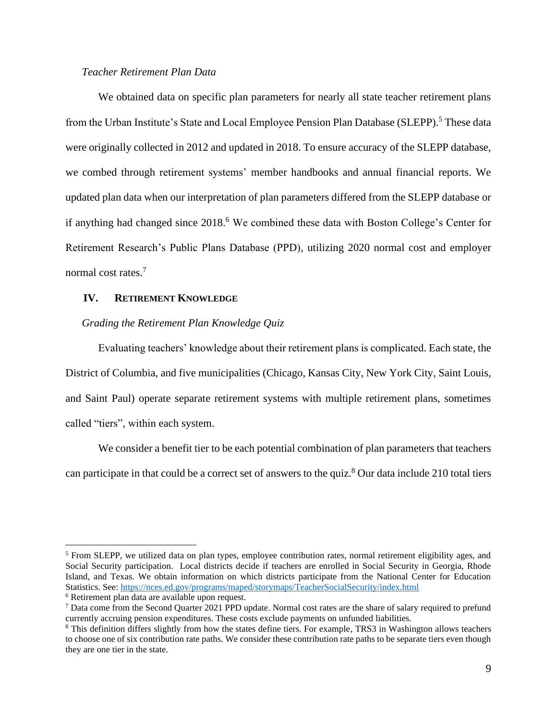### *Teacher Retirement Plan Data*

We obtained data on specific plan parameters for nearly all state teacher retirement plans from the Urban Institute's State and Local Employee Pension Plan Database (SLEPP).<sup>5</sup> These data were originally collected in 2012 and updated in 2018. To ensure accuracy of the SLEPP database, we combed through retirement systems' member handbooks and annual financial reports. We updated plan data when our interpretation of plan parameters differed from the SLEPP database or if anything had changed since 2018. <sup>6</sup> We combined these data with Boston College's Center for Retirement Research's Public Plans Database (PPD), utilizing 2020 normal cost and employer normal cost rates.<sup>7</sup>

### **IV. RETIREMENT KNOWLEDGE**

### *Grading the Retirement Plan Knowledge Quiz*

Evaluating teachers' knowledge about their retirement plans is complicated. Each state, the District of Columbia, and five municipalities (Chicago, Kansas City, New York City, Saint Louis, and Saint Paul) operate separate retirement systems with multiple retirement plans, sometimes called "tiers", within each system.

We consider a benefit tier to be each potential combination of plan parameters that teachers can participate in that could be a correct set of answers to the quiz.<sup>8</sup> Our data include 210 total tiers

<sup>&</sup>lt;sup>5</sup> From SLEPP, we utilized data on plan types, employee contribution rates, normal retirement eligibility ages, and Social Security participation. Local districts decide if teachers are enrolled in Social Security in Georgia, Rhode Island, and Texas. We obtain information on which districts participate from the National Center for Education Statistics. See:<https://nces.ed.gov/programs/maped/storymaps/TeacherSocialSecurity/index.html>

<sup>6</sup> Retirement plan data are available upon request.

<sup>7</sup> Data come from the Second Quarter 2021 PPD update. Normal cost rates are the share of salary required to prefund currently accruing pension expenditures. These costs exclude payments on unfunded liabilities.

<sup>8</sup> This definition differs slightly from how the states define tiers. For example, TRS3 in Washington allows teachers to choose one of six contribution rate paths. We consider these contribution rate paths to be separate tiers even though they are one tier in the state.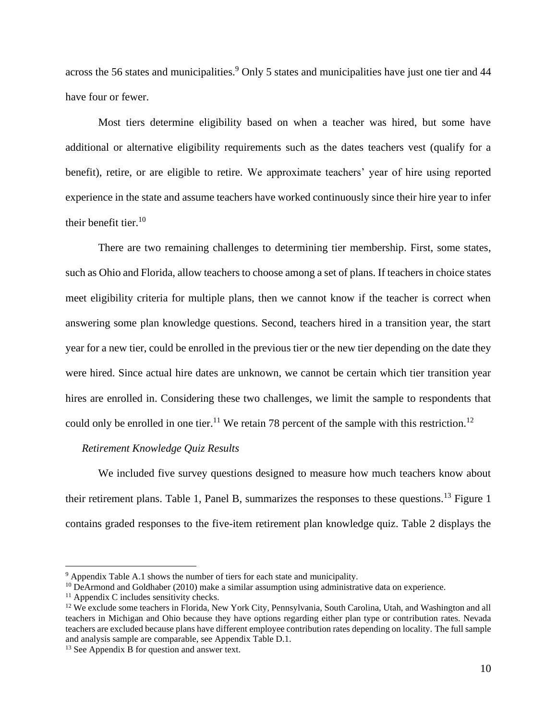across the 56 states and municipalities.<sup>9</sup> Only 5 states and municipalities have just one tier and 44 have four or fewer.

Most tiers determine eligibility based on when a teacher was hired, but some have additional or alternative eligibility requirements such as the dates teachers vest (qualify for a benefit), retire, or are eligible to retire. We approximate teachers' year of hire using reported experience in the state and assume teachers have worked continuously since their hire year to infer their benefit tier.<sup>10</sup>

There are two remaining challenges to determining tier membership. First, some states, such as Ohio and Florida, allow teachers to choose among a set of plans. If teachers in choice states meet eligibility criteria for multiple plans, then we cannot know if the teacher is correct when answering some plan knowledge questions. Second, teachers hired in a transition year, the start year for a new tier, could be enrolled in the previous tier or the new tier depending on the date they were hired. Since actual hire dates are unknown, we cannot be certain which tier transition year hires are enrolled in. Considering these two challenges, we limit the sample to respondents that could only be enrolled in one tier.<sup>11</sup> We retain 78 percent of the sample with this restriction.<sup>12</sup>

### *Retirement Knowledge Quiz Results*

We included five survey questions designed to measure how much teachers know about their retirement plans. Table 1, Panel B, summarizes the responses to these questions.<sup>13</sup> Figure 1 contains graded responses to the five-item retirement plan knowledge quiz. Table 2 displays the

<sup>9</sup> Appendix Table A.1 shows the number of tiers for each state and municipality.

 $10$  DeArmond and Goldhaber (2010) make a similar assumption using administrative data on experience.

 $<sup>11</sup>$  Appendix C includes sensitivity checks.</sup>

 $12$  We exclude some teachers in Florida, New York City, Pennsylvania, South Carolina, Utah, and Washington and all teachers in Michigan and Ohio because they have options regarding either plan type or contribution rates. Nevada teachers are excluded because plans have different employee contribution rates depending on locality. The full sample and analysis sample are comparable, see Appendix Table D.1.

<sup>&</sup>lt;sup>13</sup> See Appendix B for question and answer text.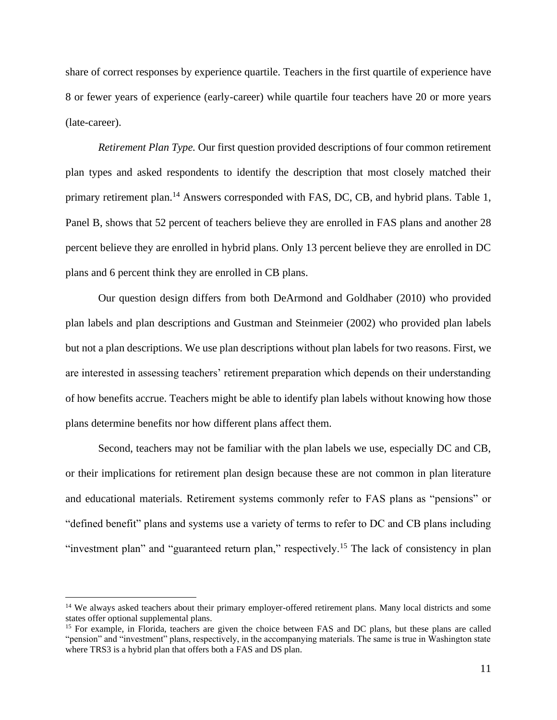share of correct responses by experience quartile. Teachers in the first quartile of experience have 8 or fewer years of experience (early-career) while quartile four teachers have 20 or more years (late-career).

*Retirement Plan Type.* Our first question provided descriptions of four common retirement plan types and asked respondents to identify the description that most closely matched their primary retirement plan.<sup>14</sup> Answers corresponded with FAS, DC, CB, and hybrid plans. Table 1, Panel B, shows that 52 percent of teachers believe they are enrolled in FAS plans and another 28 percent believe they are enrolled in hybrid plans. Only 13 percent believe they are enrolled in DC plans and 6 percent think they are enrolled in CB plans.

Our question design differs from both DeArmond and Goldhaber (2010) who provided plan labels and plan descriptions and Gustman and Steinmeier (2002) who provided plan labels but not a plan descriptions. We use plan descriptions without plan labels for two reasons. First, we are interested in assessing teachers' retirement preparation which depends on their understanding of how benefits accrue. Teachers might be able to identify plan labels without knowing how those plans determine benefits nor how different plans affect them.

Second, teachers may not be familiar with the plan labels we use, especially DC and CB, or their implications for retirement plan design because these are not common in plan literature and educational materials. Retirement systems commonly refer to FAS plans as "pensions" or "defined benefit" plans and systems use a variety of terms to refer to DC and CB plans including "investment plan" and "guaranteed return plan," respectively.<sup>15</sup> The lack of consistency in plan

<sup>&</sup>lt;sup>14</sup> We always asked teachers about their primary employer-offered retirement plans. Many local districts and some states offer optional supplemental plans.

<sup>&</sup>lt;sup>15</sup> For example, in Florida, teachers are given the choice between FAS and DC plans, but these plans are called "pension" and "investment" plans, respectively, in the accompanying materials. The same is true in Washington state where TRS3 is a hybrid plan that offers both a FAS and DS plan.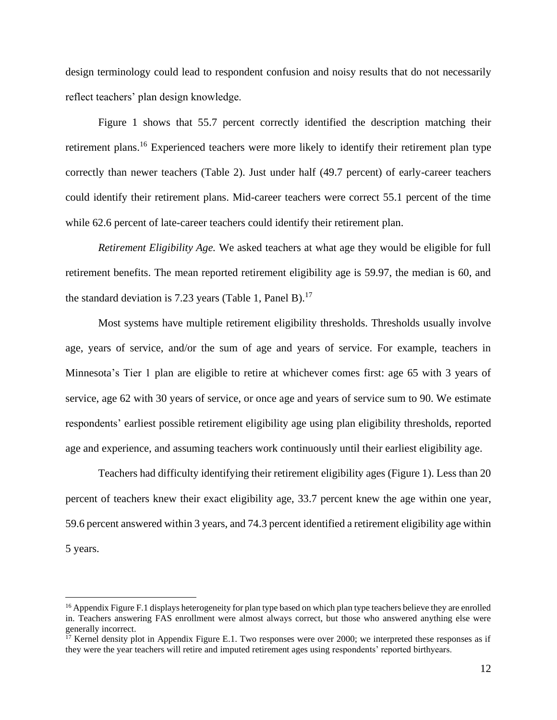design terminology could lead to respondent confusion and noisy results that do not necessarily reflect teachers' plan design knowledge.

Figure 1 shows that 55.7 percent correctly identified the description matching their retirement plans.<sup>16</sup> Experienced teachers were more likely to identify their retirement plan type correctly than newer teachers (Table 2). Just under half (49.7 percent) of early-career teachers could identify their retirement plans. Mid-career teachers were correct 55.1 percent of the time while 62.6 percent of late-career teachers could identify their retirement plan.

*Retirement Eligibility Age.* We asked teachers at what age they would be eligible for full retirement benefits. The mean reported retirement eligibility age is 59.97, the median is 60, and the standard deviation is 7.23 years (Table 1, Panel B).<sup>17</sup>

Most systems have multiple retirement eligibility thresholds. Thresholds usually involve age, years of service, and/or the sum of age and years of service. For example, teachers in Minnesota's Tier 1 plan are eligible to retire at whichever comes first: age 65 with 3 years of service, age 62 with 30 years of service, or once age and years of service sum to 90. We estimate respondents' earliest possible retirement eligibility age using plan eligibility thresholds, reported age and experience, and assuming teachers work continuously until their earliest eligibility age.

Teachers had difficulty identifying their retirement eligibility ages (Figure 1). Less than 20 percent of teachers knew their exact eligibility age, 33.7 percent knew the age within one year, 59.6 percent answered within 3 years, and 74.3 percent identified a retirement eligibility age within 5 years.

<sup>&</sup>lt;sup>16</sup> Appendix Figure F.1 displays heterogeneity for plan type based on which plan type teachers believe they are enrolled in. Teachers answering FAS enrollment were almost always correct, but those who answered anything else were generally incorrect.

<sup>&</sup>lt;sup>17</sup> Kernel density plot in Appendix Figure E.1. Two responses were over 2000; we interpreted these responses as if they were the year teachers will retire and imputed retirement ages using respondents' reported birthyears.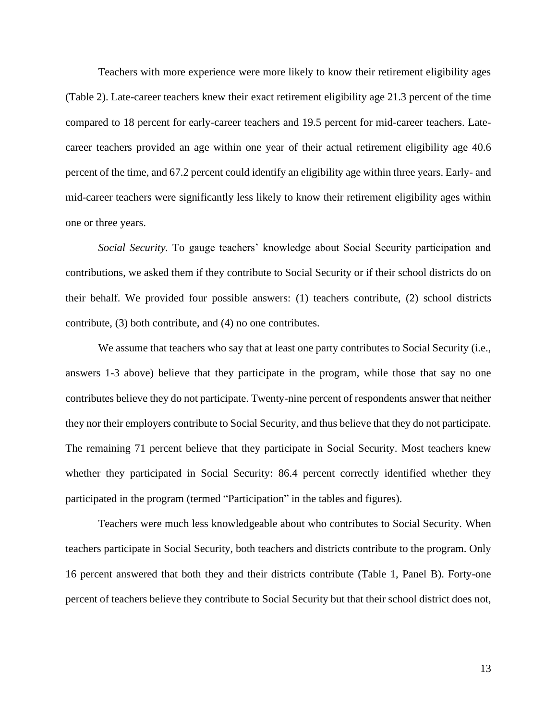Teachers with more experience were more likely to know their retirement eligibility ages (Table 2). Late-career teachers knew their exact retirement eligibility age 21.3 percent of the time compared to 18 percent for early-career teachers and 19.5 percent for mid-career teachers. Latecareer teachers provided an age within one year of their actual retirement eligibility age 40.6 percent of the time, and 67.2 percent could identify an eligibility age within three years. Early- and mid-career teachers were significantly less likely to know their retirement eligibility ages within one or three years.

*Social Security.* To gauge teachers' knowledge about Social Security participation and contributions, we asked them if they contribute to Social Security or if their school districts do on their behalf. We provided four possible answers: (1) teachers contribute, (2) school districts contribute, (3) both contribute, and (4) no one contributes.

We assume that teachers who say that at least one party contributes to Social Security (i.e., answers 1-3 above) believe that they participate in the program, while those that say no one contributes believe they do not participate. Twenty-nine percent of respondents answer that neither they nor their employers contribute to Social Security, and thus believe that they do not participate. The remaining 71 percent believe that they participate in Social Security. Most teachers knew whether they participated in Social Security: 86.4 percent correctly identified whether they participated in the program (termed "Participation" in the tables and figures).

Teachers were much less knowledgeable about who contributes to Social Security. When teachers participate in Social Security, both teachers and districts contribute to the program. Only 16 percent answered that both they and their districts contribute (Table 1, Panel B). Forty-one percent of teachers believe they contribute to Social Security but that their school district does not,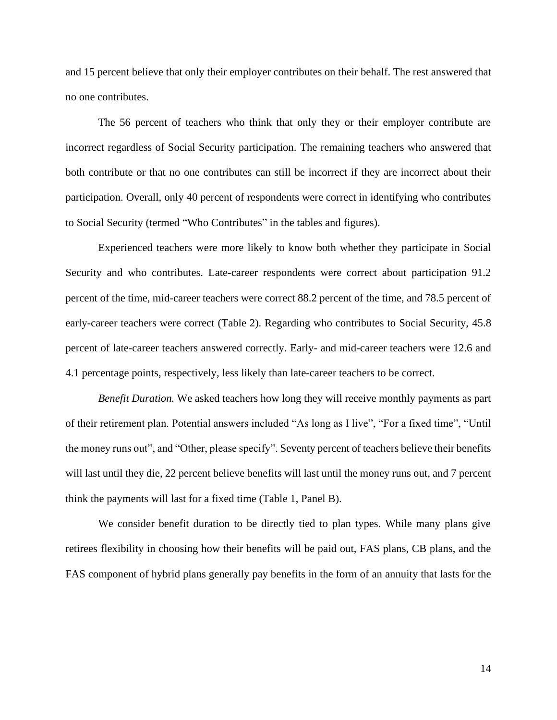and 15 percent believe that only their employer contributes on their behalf. The rest answered that no one contributes.

The 56 percent of teachers who think that only they or their employer contribute are incorrect regardless of Social Security participation. The remaining teachers who answered that both contribute or that no one contributes can still be incorrect if they are incorrect about their participation. Overall, only 40 percent of respondents were correct in identifying who contributes to Social Security (termed "Who Contributes" in the tables and figures).

Experienced teachers were more likely to know both whether they participate in Social Security and who contributes. Late-career respondents were correct about participation 91.2 percent of the time, mid-career teachers were correct 88.2 percent of the time, and 78.5 percent of early-career teachers were correct (Table 2). Regarding who contributes to Social Security, 45.8 percent of late-career teachers answered correctly. Early- and mid-career teachers were 12.6 and 4.1 percentage points, respectively, less likely than late-career teachers to be correct.

*Benefit Duration.* We asked teachers how long they will receive monthly payments as part of their retirement plan. Potential answers included "As long as I live", "For a fixed time", "Until the money runs out", and "Other, please specify". Seventy percent of teachers believe their benefits will last until they die, 22 percent believe benefits will last until the money runs out, and 7 percent think the payments will last for a fixed time (Table 1, Panel B).

We consider benefit duration to be directly tied to plan types. While many plans give retirees flexibility in choosing how their benefits will be paid out, FAS plans, CB plans, and the FAS component of hybrid plans generally pay benefits in the form of an annuity that lasts for the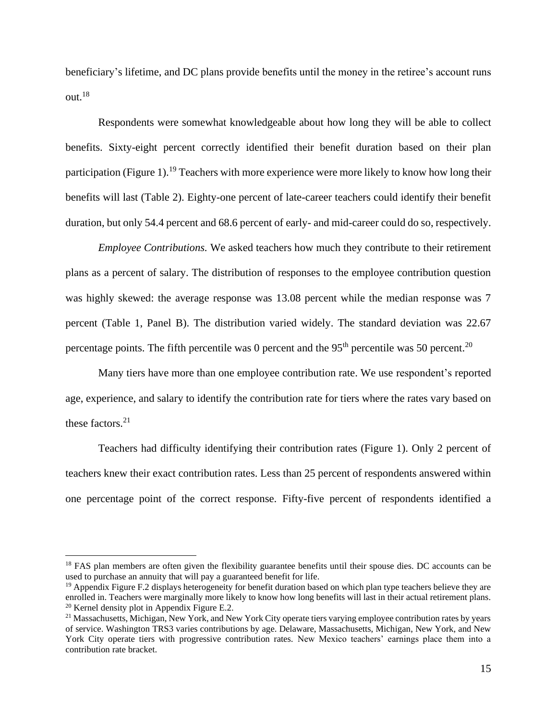beneficiary's lifetime, and DC plans provide benefits until the money in the retiree's account runs out.<sup>18</sup>

Respondents were somewhat knowledgeable about how long they will be able to collect benefits. Sixty-eight percent correctly identified their benefit duration based on their plan participation (Figure 1).<sup>19</sup> Teachers with more experience were more likely to know how long their benefits will last (Table 2). Eighty-one percent of late-career teachers could identify their benefit duration, but only 54.4 percent and 68.6 percent of early- and mid-career could do so, respectively.

*Employee Contributions.* We asked teachers how much they contribute to their retirement plans as a percent of salary. The distribution of responses to the employee contribution question was highly skewed: the average response was 13.08 percent while the median response was 7 percent (Table 1, Panel B). The distribution varied widely. The standard deviation was 22.67 percentage points. The fifth percentile was 0 percent and the  $95<sup>th</sup>$  percentile was 50 percent.<sup>20</sup>

Many tiers have more than one employee contribution rate. We use respondent's reported age, experience, and salary to identify the contribution rate for tiers where the rates vary based on these factors. 21

Teachers had difficulty identifying their contribution rates (Figure 1). Only 2 percent of teachers knew their exact contribution rates. Less than 25 percent of respondents answered within one percentage point of the correct response. Fifty-five percent of respondents identified a

<sup>&</sup>lt;sup>18</sup> FAS plan members are often given the flexibility guarantee benefits until their spouse dies. DC accounts can be used to purchase an annuity that will pay a guaranteed benefit for life.

 $<sup>19</sup>$  Appendix Figure F.2 displays heterogeneity for benefit duration based on which plan type teachers believe they are</sup> enrolled in. Teachers were marginally more likely to know how long benefits will last in their actual retirement plans. <sup>20</sup> Kernel density plot in Appendix Figure E.2.

 $21$  Massachusetts, Michigan, New York, and New York City operate tiers varying employee contribution rates by years of service. Washington TRS3 varies contributions by age. Delaware, Massachusetts, Michigan, New York, and New York City operate tiers with progressive contribution rates. New Mexico teachers' earnings place them into a contribution rate bracket.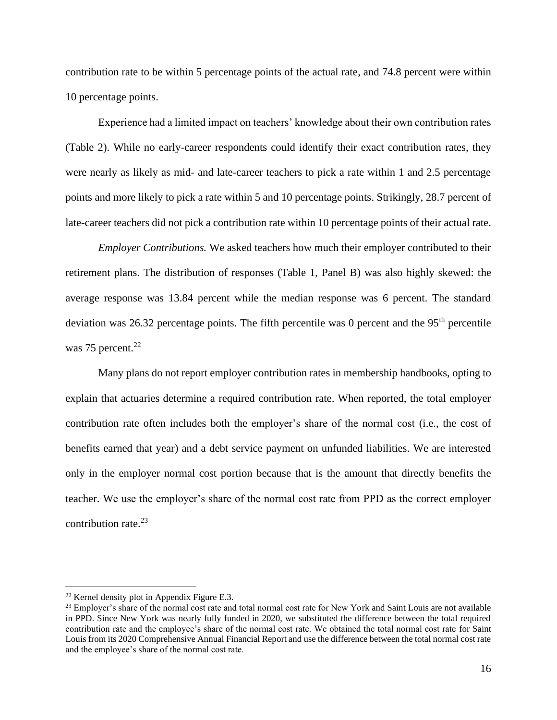contribution rate to be within 5 percentage points of the actual rate, and 74.8 percent were within 10 percentage points.

Experience had a limited impact on teachers' knowledge about their own contribution rates (Table 2). While no early-career respondents could identify their exact contribution rates, they were nearly as likely as mid- and late-career teachers to pick a rate within 1 and 2.5 percentage points and more likely to pick a rate within 5 and 10 percentage points. Strikingly, 28.7 percent of late-career teachers did not pick a contribution rate within 10 percentage points of their actual rate.

*Employer Contributions.* We asked teachers how much their employer contributed to their retirement plans. The distribution of responses (Table 1, Panel B) was also highly skewed: the average response was 13.84 percent while the median response was 6 percent. The standard deviation was 26.32 percentage points. The fifth percentile was 0 percent and the  $95<sup>th</sup>$  percentile was  $75$  percent.<sup>22</sup>

Many plans do not report employer contribution rates in membership handbooks, opting to explain that actuaries determine a required contribution rate. When reported, the total employer contribution rate often includes both the employer's share of the normal cost (i.e., the cost of benefits earned that year) and a debt service payment on unfunded liabilities. We are interested only in the employer normal cost portion because that is the amount that directly benefits the teacher. We use the employer's share of the normal cost rate from PPD as the correct employer contribution rate.<sup>23</sup>

<sup>22</sup> Kernel density plot in Appendix Figure E.3.

<sup>&</sup>lt;sup>23</sup> Employer's share of the normal cost rate and total normal cost rate for New York and Saint Louis are not available in PPD. Since New York was nearly fully funded in 2020, we substituted the difference between the total required contribution rate and the employee's share of the normal cost rate. We obtained the total normal cost rate for Saint Louis from its 2020 Comprehensive Annual Financial Report and use the difference between the total normal cost rate and the employee's share of the normal cost rate.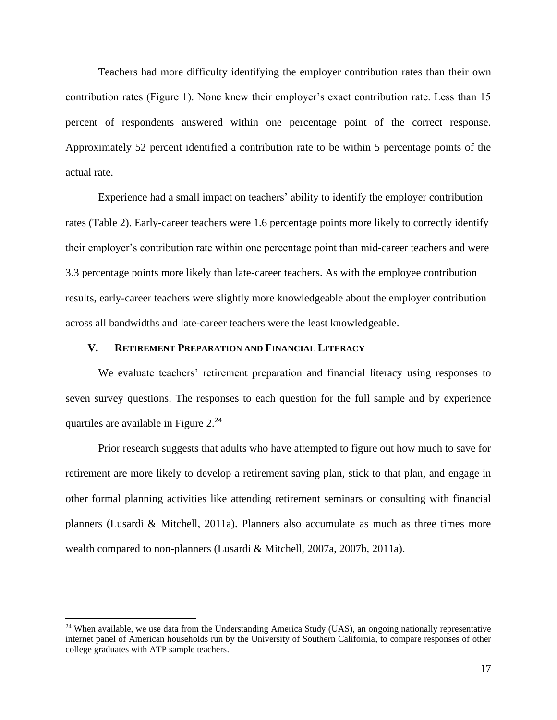Teachers had more difficulty identifying the employer contribution rates than their own contribution rates (Figure 1). None knew their employer's exact contribution rate. Less than 15 percent of respondents answered within one percentage point of the correct response. Approximately 52 percent identified a contribution rate to be within 5 percentage points of the actual rate.

Experience had a small impact on teachers' ability to identify the employer contribution rates (Table 2). Early-career teachers were 1.6 percentage points more likely to correctly identify their employer's contribution rate within one percentage point than mid-career teachers and were 3.3 percentage points more likely than late-career teachers. As with the employee contribution results, early-career teachers were slightly more knowledgeable about the employer contribution across all bandwidths and late-career teachers were the least knowledgeable.

### **V. RETIREMENT PREPARATION AND FINANCIAL LITERACY**

We evaluate teachers' retirement preparation and financial literacy using responses to seven survey questions. The responses to each question for the full sample and by experience quartiles are available in Figure 2.<sup>24</sup>

Prior research suggests that adults who have attempted to figure out how much to save for retirement are more likely to develop a retirement saving plan, stick to that plan, and engage in other formal planning activities like attending retirement seminars or consulting with financial planners (Lusardi & Mitchell, 2011a). Planners also accumulate as much as three times more wealth compared to non-planners (Lusardi & Mitchell, 2007a, 2007b, 2011a).

<sup>&</sup>lt;sup>24</sup> When available, we use data from the Understanding America Study (UAS), an ongoing nationally representative internet panel of American households run by the University of Southern California, to compare responses of other college graduates with ATP sample teachers.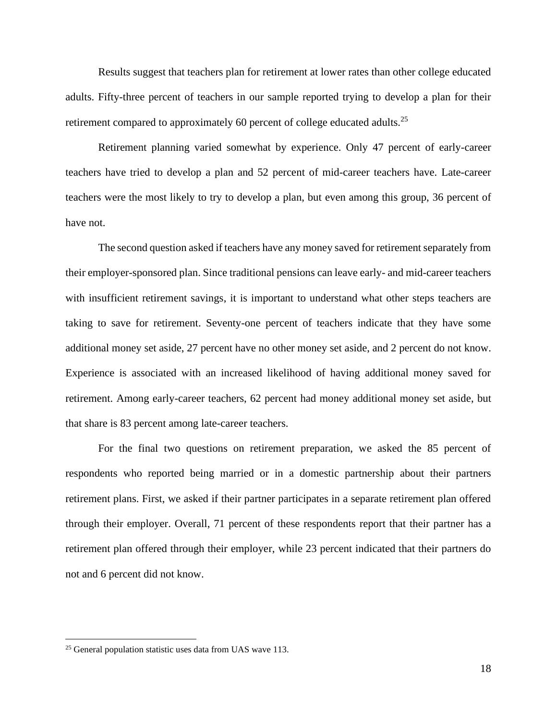Results suggest that teachers plan for retirement at lower rates than other college educated adults. Fifty-three percent of teachers in our sample reported trying to develop a plan for their retirement compared to approximately 60 percent of college educated adults.<sup>25</sup>

Retirement planning varied somewhat by experience. Only 47 percent of early-career teachers have tried to develop a plan and 52 percent of mid-career teachers have. Late-career teachers were the most likely to try to develop a plan, but even among this group, 36 percent of have not.

The second question asked if teachers have any money saved for retirement separately from their employer-sponsored plan. Since traditional pensions can leave early- and mid-career teachers with insufficient retirement savings, it is important to understand what other steps teachers are taking to save for retirement. Seventy-one percent of teachers indicate that they have some additional money set aside, 27 percent have no other money set aside, and 2 percent do not know. Experience is associated with an increased likelihood of having additional money saved for retirement. Among early-career teachers, 62 percent had money additional money set aside, but that share is 83 percent among late-career teachers.

For the final two questions on retirement preparation, we asked the 85 percent of respondents who reported being married or in a domestic partnership about their partners retirement plans. First, we asked if their partner participates in a separate retirement plan offered through their employer. Overall, 71 percent of these respondents report that their partner has a retirement plan offered through their employer, while 23 percent indicated that their partners do not and 6 percent did not know.

<sup>&</sup>lt;sup>25</sup> General population statistic uses data from UAS wave 113.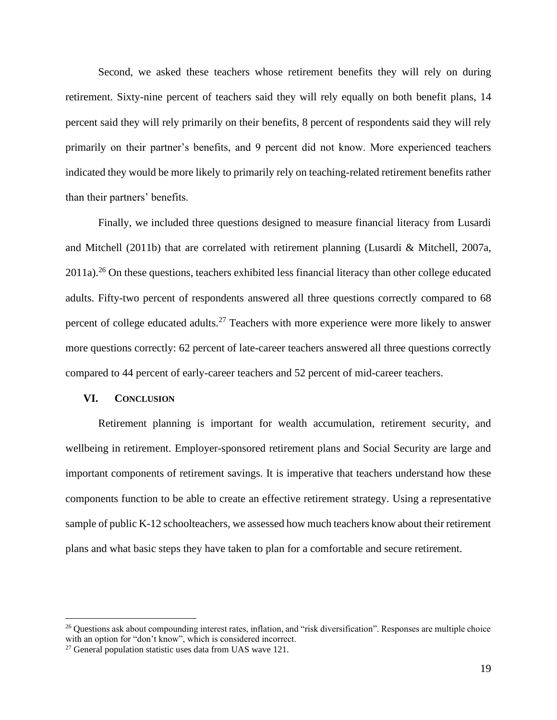Second, we asked these teachers whose retirement benefits they will rely on during retirement. Sixty-nine percent of teachers said they will rely equally on both benefit plans, 14 percent said they will rely primarily on their benefits, 8 percent of respondents said they will rely primarily on their partner's benefits, and 9 percent did not know. More experienced teachers indicated they would be more likely to primarily rely on teaching-related retirement benefits rather than their partners' benefits.

Finally, we included three questions designed to measure financial literacy from Lusardi and Mitchell (2011b) that are correlated with retirement planning (Lusardi & Mitchell, 2007a,  $2011a$ ).<sup>26</sup> On these questions, teachers exhibited less financial literacy than other college educated adults. Fifty-two percent of respondents answered all three questions correctly compared to 68 percent of college educated adults.<sup>27</sup> Teachers with more experience were more likely to answer more questions correctly: 62 percent of late-career teachers answered all three questions correctly compared to 44 percent of early-career teachers and 52 percent of mid-career teachers.

### **VI. CONCLUSION**

Retirement planning is important for wealth accumulation, retirement security, and wellbeing in retirement. Employer-sponsored retirement plans and Social Security are large and important components of retirement savings. It is imperative that teachers understand how these components function to be able to create an effective retirement strategy. Using a representative sample of public K-12 schoolteachers, we assessed how much teachers know about their retirement plans and what basic steps they have taken to plan for a comfortable and secure retirement.

<sup>&</sup>lt;sup>26</sup> Questions ask about compounding interest rates, inflation, and "risk diversification". Responses are multiple choice with an option for "don't know", which is considered incorrect.

<sup>&</sup>lt;sup>27</sup> General population statistic uses data from UAS wave 121.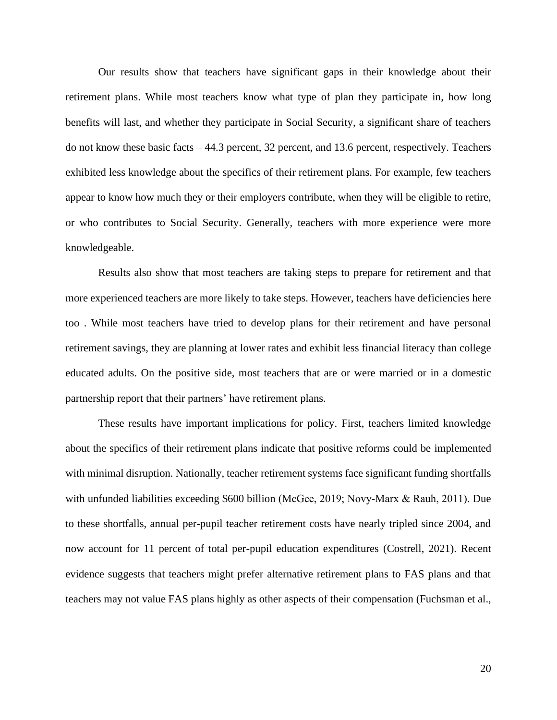Our results show that teachers have significant gaps in their knowledge about their retirement plans. While most teachers know what type of plan they participate in, how long benefits will last, and whether they participate in Social Security, a significant share of teachers do not know these basic facts – 44.3 percent, 32 percent, and 13.6 percent, respectively. Teachers exhibited less knowledge about the specifics of their retirement plans. For example, few teachers appear to know how much they or their employers contribute, when they will be eligible to retire, or who contributes to Social Security. Generally, teachers with more experience were more knowledgeable.

Results also show that most teachers are taking steps to prepare for retirement and that more experienced teachers are more likely to take steps. However, teachers have deficiencies here too . While most teachers have tried to develop plans for their retirement and have personal retirement savings, they are planning at lower rates and exhibit less financial literacy than college educated adults. On the positive side, most teachers that are or were married or in a domestic partnership report that their partners' have retirement plans.

These results have important implications for policy. First, teachers limited knowledge about the specifics of their retirement plans indicate that positive reforms could be implemented with minimal disruption. Nationally, teacher retirement systems face significant funding shortfalls with unfunded liabilities exceeding \$600 billion (McGee, 2019; Novy-Marx & Rauh, 2011). Due to these shortfalls, annual per-pupil teacher retirement costs have nearly tripled since 2004, and now account for 11 percent of total per-pupil education expenditures (Costrell, 2021). Recent evidence suggests that teachers might prefer alternative retirement plans to FAS plans and that teachers may not value FAS plans highly as other aspects of their compensation (Fuchsman et al.,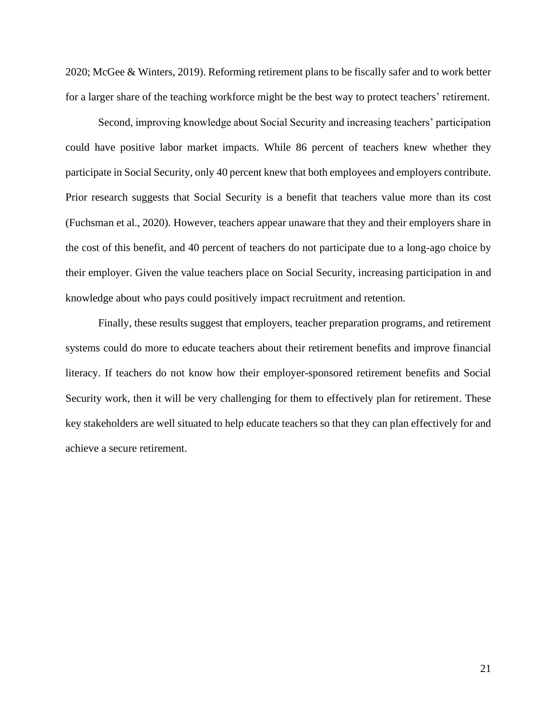2020; McGee & Winters, 2019). Reforming retirement plans to be fiscally safer and to work better for a larger share of the teaching workforce might be the best way to protect teachers' retirement.

Second, improving knowledge about Social Security and increasing teachers' participation could have positive labor market impacts. While 86 percent of teachers knew whether they participate in Social Security, only 40 percent knew that both employees and employers contribute. Prior research suggests that Social Security is a benefit that teachers value more than its cost (Fuchsman et al., 2020). However, teachers appear unaware that they and their employers share in the cost of this benefit, and 40 percent of teachers do not participate due to a long-ago choice by their employer. Given the value teachers place on Social Security, increasing participation in and knowledge about who pays could positively impact recruitment and retention.

Finally, these results suggest that employers, teacher preparation programs, and retirement systems could do more to educate teachers about their retirement benefits and improve financial literacy. If teachers do not know how their employer-sponsored retirement benefits and Social Security work, then it will be very challenging for them to effectively plan for retirement. These key stakeholders are well situated to help educate teachers so that they can plan effectively for and achieve a secure retirement.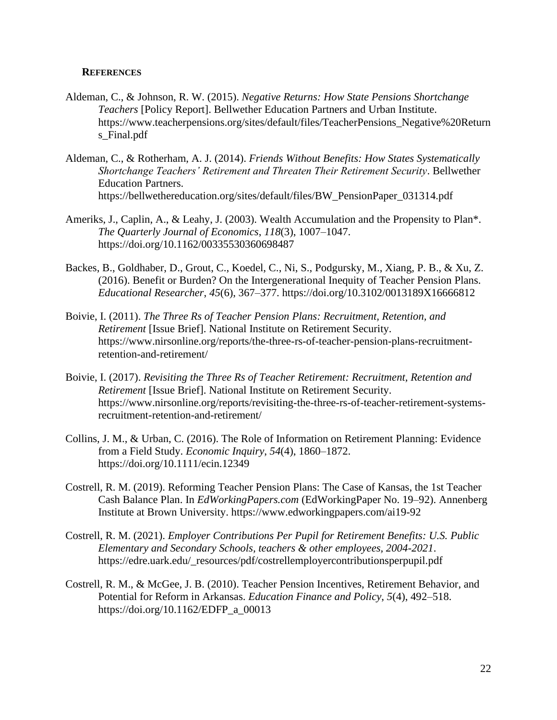### **REFERENCES**

- Aldeman, C., & Johnson, R. W. (2015). *Negative Returns: How State Pensions Shortchange Teachers* [Policy Report]. Bellwether Education Partners and Urban Institute. https://www.teacherpensions.org/sites/default/files/TeacherPensions\_Negative%20Return s\_Final.pdf
- Aldeman, C., & Rotherham, A. J. (2014). *Friends Without Benefits: How States Systematically Shortchange Teachers' Retirement and Threaten Their Retirement Security*. Bellwether Education Partners. https://bellwethereducation.org/sites/default/files/BW\_PensionPaper\_031314.pdf
- Ameriks, J., Caplin, A., & Leahy, J. (2003). Wealth Accumulation and the Propensity to Plan\*. *The Quarterly Journal of Economics*, *118*(3), 1007–1047. https://doi.org/10.1162/00335530360698487
- Backes, B., Goldhaber, D., Grout, C., Koedel, C., Ni, S., Podgursky, M., Xiang, P. B., & Xu, Z. (2016). Benefit or Burden? On the Intergenerational Inequity of Teacher Pension Plans. *Educational Researcher*, *45*(6), 367–377. https://doi.org/10.3102/0013189X16666812
- Boivie, I. (2011). *The Three Rs of Teacher Pension Plans: Recruitment, Retention, and Retirement* [Issue Brief]. National Institute on Retirement Security. https://www.nirsonline.org/reports/the-three-rs-of-teacher-pension-plans-recruitmentretention-and-retirement/
- Boivie, I. (2017). *Revisiting the Three Rs of Teacher Retirement: Recruitment, Retention and Retirement* [Issue Brief]. National Institute on Retirement Security. https://www.nirsonline.org/reports/revisiting-the-three-rs-of-teacher-retirement-systemsrecruitment-retention-and-retirement/
- Collins, J. M., & Urban, C. (2016). The Role of Information on Retirement Planning: Evidence from a Field Study. *Economic Inquiry*, *54*(4), 1860–1872. https://doi.org/10.1111/ecin.12349
- Costrell, R. M. (2019). Reforming Teacher Pension Plans: The Case of Kansas, the 1st Teacher Cash Balance Plan. In *EdWorkingPapers.com* (EdWorkingPaper No. 19–92). Annenberg Institute at Brown University. https://www.edworkingpapers.com/ai19-92
- Costrell, R. M. (2021). *Employer Contributions Per Pupil for Retirement Benefits: U.S. Public Elementary and Secondary Schools, teachers & other employees, 2004-2021*. https://edre.uark.edu/\_resources/pdf/costrellemployercontributionsperpupil.pdf
- Costrell, R. M., & McGee, J. B. (2010). Teacher Pension Incentives, Retirement Behavior, and Potential for Reform in Arkansas. *Education Finance and Policy*, *5*(4), 492–518. https://doi.org/10.1162/EDFP\_a\_00013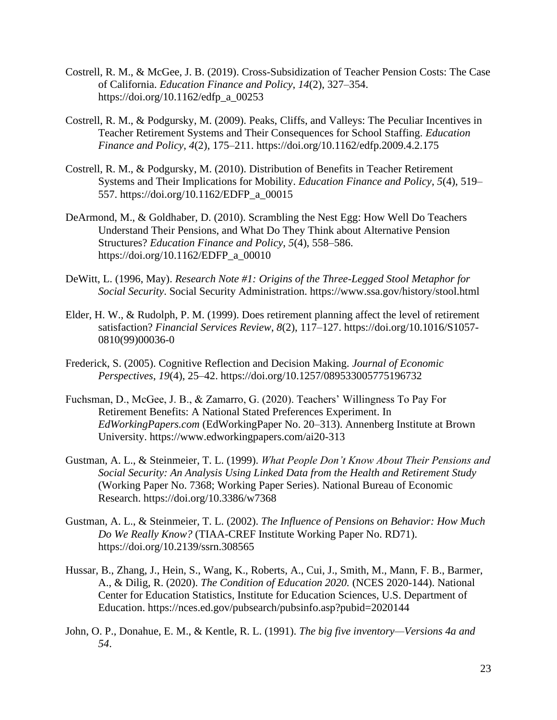- Costrell, R. M., & McGee, J. B. (2019). Cross-Subsidization of Teacher Pension Costs: The Case of California. *Education Finance and Policy*, *14*(2), 327–354. https://doi.org/10.1162/edfp\_a\_00253
- Costrell, R. M., & Podgursky, M. (2009). Peaks, Cliffs, and Valleys: The Peculiar Incentives in Teacher Retirement Systems and Their Consequences for School Staffing. *Education Finance and Policy*, *4*(2), 175–211. https://doi.org/10.1162/edfp.2009.4.2.175
- Costrell, R. M., & Podgursky, M. (2010). Distribution of Benefits in Teacher Retirement Systems and Their Implications for Mobility. *Education Finance and Policy*, *5*(4), 519– 557. https://doi.org/10.1162/EDFP\_a\_00015
- DeArmond, M., & Goldhaber, D. (2010). Scrambling the Nest Egg: How Well Do Teachers Understand Their Pensions, and What Do They Think about Alternative Pension Structures? *Education Finance and Policy*, *5*(4), 558–586. https://doi.org/10.1162/EDFP\_a\_00010
- DeWitt, L. (1996, May). *Research Note #1: Origins of the Three-Legged Stool Metaphor for Social Security*. Social Security Administration. https://www.ssa.gov/history/stool.html
- Elder, H. W., & Rudolph, P. M. (1999). Does retirement planning affect the level of retirement satisfaction? *Financial Services Review*, *8*(2), 117–127. https://doi.org/10.1016/S1057- 0810(99)00036-0
- Frederick, S. (2005). Cognitive Reflection and Decision Making. *Journal of Economic Perspectives*, *19*(4), 25–42. https://doi.org/10.1257/089533005775196732
- Fuchsman, D., McGee, J. B., & Zamarro, G. (2020). Teachers' Willingness To Pay For Retirement Benefits: A National Stated Preferences Experiment. In *EdWorkingPapers.com* (EdWorkingPaper No. 20–313). Annenberg Institute at Brown University. https://www.edworkingpapers.com/ai20-313
- Gustman, A. L., & Steinmeier, T. L. (1999). *What People Don't Know About Their Pensions and Social Security: An Analysis Using Linked Data from the Health and Retirement Study* (Working Paper No. 7368; Working Paper Series). National Bureau of Economic Research. https://doi.org/10.3386/w7368
- Gustman, A. L., & Steinmeier, T. L. (2002). *The Influence of Pensions on Behavior: How Much Do We Really Know?* (TIAA-CREF Institute Working Paper No. RD71). https://doi.org/10.2139/ssrn.308565
- Hussar, B., Zhang, J., Hein, S., Wang, K., Roberts, A., Cui, J., Smith, M., Mann, F. B., Barmer, A., & Dilig, R. (2020). *The Condition of Education 2020.* (NCES 2020-144). National Center for Education Statistics, Institute for Education Sciences, U.S. Department of Education. https://nces.ed.gov/pubsearch/pubsinfo.asp?pubid=2020144
- John, O. P., Donahue, E. M., & Kentle, R. L. (1991). *The big five inventory—Versions 4a and 54*.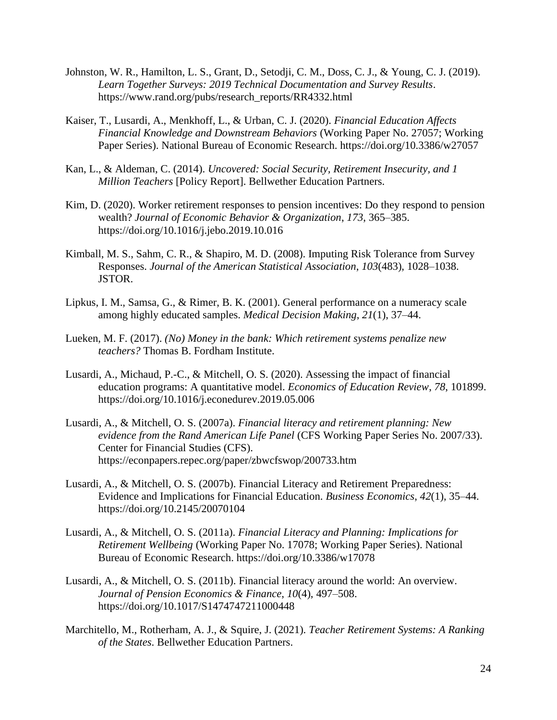- Johnston, W. R., Hamilton, L. S., Grant, D., Setodji, C. M., Doss, C. J., & Young, C. J. (2019). *Learn Together Surveys: 2019 Technical Documentation and Survey Results*. https://www.rand.org/pubs/research\_reports/RR4332.html
- Kaiser, T., Lusardi, A., Menkhoff, L., & Urban, C. J. (2020). *Financial Education Affects Financial Knowledge and Downstream Behaviors* (Working Paper No. 27057; Working Paper Series). National Bureau of Economic Research. https://doi.org/10.3386/w27057
- Kan, L., & Aldeman, C. (2014). *Uncovered: Social Security, Retirement Insecurity, and 1 Million Teachers* [Policy Report]. Bellwether Education Partners.
- Kim, D. (2020). Worker retirement responses to pension incentives: Do they respond to pension wealth? *Journal of Economic Behavior & Organization*, *173*, 365–385. https://doi.org/10.1016/j.jebo.2019.10.016
- Kimball, M. S., Sahm, C. R., & Shapiro, M. D. (2008). Imputing Risk Tolerance from Survey Responses. *Journal of the American Statistical Association*, *103*(483), 1028–1038. JSTOR.
- Lipkus, I. M., Samsa, G., & Rimer, B. K. (2001). General performance on a numeracy scale among highly educated samples. *Medical Decision Making*, *21*(1), 37–44.
- Lueken, M. F. (2017). *(No) Money in the bank: Which retirement systems penalize new teachers?* Thomas B. Fordham Institute.
- Lusardi, A., Michaud, P.-C., & Mitchell, O. S. (2020). Assessing the impact of financial education programs: A quantitative model. *Economics of Education Review*, *78*, 101899. https://doi.org/10.1016/j.econedurev.2019.05.006
- Lusardi, A., & Mitchell, O. S. (2007a). *Financial literacy and retirement planning: New evidence from the Rand American Life Panel* (CFS Working Paper Series No. 2007/33). Center for Financial Studies (CFS). https://econpapers.repec.org/paper/zbwcfswop/200733.htm
- Lusardi, A., & Mitchell, O. S. (2007b). Financial Literacy and Retirement Preparedness: Evidence and Implications for Financial Education. *Business Economics*, *42*(1), 35–44. https://doi.org/10.2145/20070104
- Lusardi, A., & Mitchell, O. S. (2011a). *Financial Literacy and Planning: Implications for Retirement Wellbeing* (Working Paper No. 17078; Working Paper Series). National Bureau of Economic Research. https://doi.org/10.3386/w17078
- Lusardi, A., & Mitchell, O. S. (2011b). Financial literacy around the world: An overview. *Journal of Pension Economics & Finance*, *10*(4), 497–508. https://doi.org/10.1017/S1474747211000448
- Marchitello, M., Rotherham, A. J., & Squire, J. (2021). *Teacher Retirement Systems: A Ranking of the States*. Bellwether Education Partners.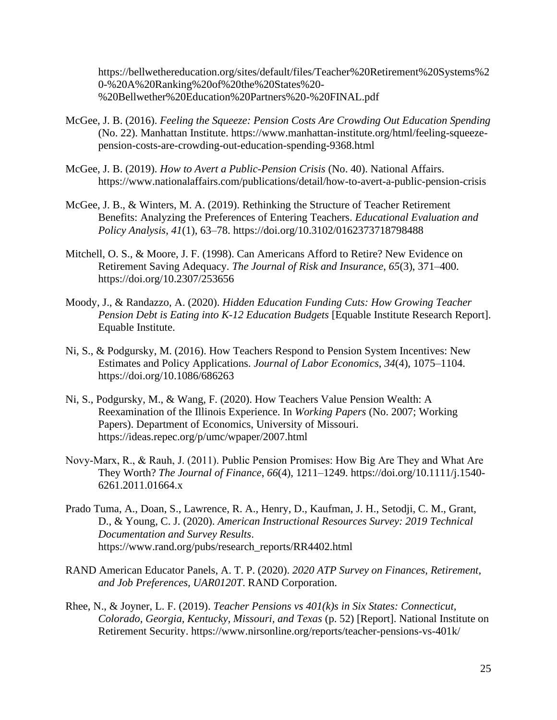https://bellwethereducation.org/sites/default/files/Teacher%20Retirement%20Systems%2 0-%20A%20Ranking%20of%20the%20States%20- %20Bellwether%20Education%20Partners%20-%20FINAL.pdf

- McGee, J. B. (2016). *Feeling the Squeeze: Pension Costs Are Crowding Out Education Spending* (No. 22). Manhattan Institute. https://www.manhattan-institute.org/html/feeling-squeezepension-costs-are-crowding-out-education-spending-9368.html
- McGee, J. B. (2019). *How to Avert a Public-Pension Crisis* (No. 40). National Affairs. https://www.nationalaffairs.com/publications/detail/how-to-avert-a-public-pension-crisis
- McGee, J. B., & Winters, M. A. (2019). Rethinking the Structure of Teacher Retirement Benefits: Analyzing the Preferences of Entering Teachers. *Educational Evaluation and Policy Analysis*, *41*(1), 63–78. https://doi.org/10.3102/0162373718798488
- Mitchell, O. S., & Moore, J. F. (1998). Can Americans Afford to Retire? New Evidence on Retirement Saving Adequacy. *The Journal of Risk and Insurance*, *65*(3), 371–400. https://doi.org/10.2307/253656
- Moody, J., & Randazzo, A. (2020). *Hidden Education Funding Cuts: How Growing Teacher Pension Debt is Eating into K-12 Education Budgets* [Equable Institute Research Report]. Equable Institute.
- Ni, S., & Podgursky, M. (2016). How Teachers Respond to Pension System Incentives: New Estimates and Policy Applications. *Journal of Labor Economics*, *34*(4), 1075–1104. https://doi.org/10.1086/686263
- Ni, S., Podgursky, M., & Wang, F. (2020). How Teachers Value Pension Wealth: A Reexamination of the Illinois Experience. In *Working Papers* (No. 2007; Working Papers). Department of Economics, University of Missouri. https://ideas.repec.org/p/umc/wpaper/2007.html
- Novy‐Marx, R., & Rauh, J. (2011). Public Pension Promises: How Big Are They and What Are They Worth? *The Journal of Finance*, *66*(4), 1211–1249. https://doi.org/10.1111/j.1540- 6261.2011.01664.x
- Prado Tuma, A., Doan, S., Lawrence, R. A., Henry, D., Kaufman, J. H., Setodji, C. M., Grant, D., & Young, C. J. (2020). *American Instructional Resources Survey: 2019 Technical Documentation and Survey Results*. https://www.rand.org/pubs/research\_reports/RR4402.html
- RAND American Educator Panels, A. T. P. (2020). *2020 ATP Survey on Finances, Retirement, and Job Preferences, UAR0120T*. RAND Corporation.
- Rhee, N., & Joyner, L. F. (2019). *Teacher Pensions vs 401(k)s in Six States: Connecticut, Colorado, Georgia, Kentucky, Missouri, and Texas* (p. 52) [Report]. National Institute on Retirement Security. https://www.nirsonline.org/reports/teacher-pensions-vs-401k/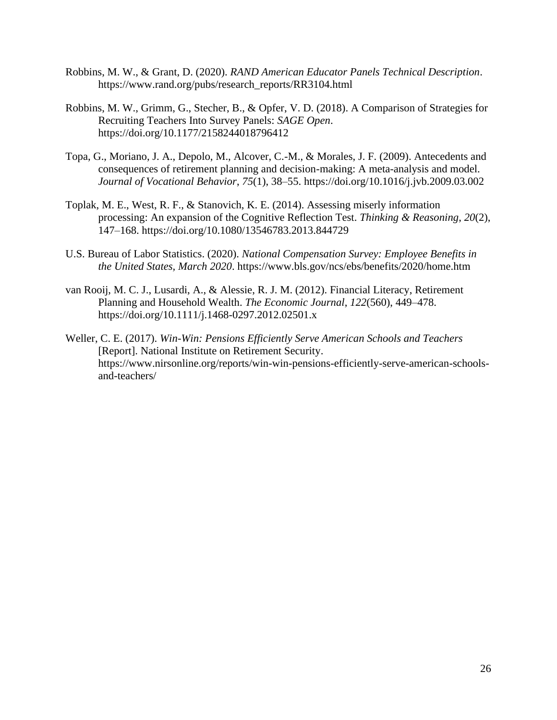- Robbins, M. W., & Grant, D. (2020). *RAND American Educator Panels Technical Description*. https://www.rand.org/pubs/research\_reports/RR3104.html
- Robbins, M. W., Grimm, G., Stecher, B., & Opfer, V. D. (2018). A Comparison of Strategies for Recruiting Teachers Into Survey Panels: *SAGE Open*. https://doi.org/10.1177/2158244018796412
- Topa, G., Moriano, J. A., Depolo, M., Alcover, C.-M., & Morales, J. F. (2009). Antecedents and consequences of retirement planning and decision-making: A meta-analysis and model. *Journal of Vocational Behavior*, *75*(1), 38–55. https://doi.org/10.1016/j.jvb.2009.03.002
- Toplak, M. E., West, R. F., & Stanovich, K. E. (2014). Assessing miserly information processing: An expansion of the Cognitive Reflection Test. *Thinking & Reasoning*, *20*(2), 147–168. https://doi.org/10.1080/13546783.2013.844729
- U.S. Bureau of Labor Statistics. (2020). *National Compensation Survey: Employee Benefits in the United States, March 2020*. https://www.bls.gov/ncs/ebs/benefits/2020/home.htm
- van Rooij, M. C. J., Lusardi, A., & Alessie, R. J. M. (2012). Financial Literacy, Retirement Planning and Household Wealth. *The Economic Journal*, *122*(560), 449–478. https://doi.org/10.1111/j.1468-0297.2012.02501.x
- Weller, C. E. (2017). *Win-Win: Pensions Efficiently Serve American Schools and Teachers* [Report]. National Institute on Retirement Security. https://www.nirsonline.org/reports/win-win-pensions-efficiently-serve-american-schoolsand-teachers/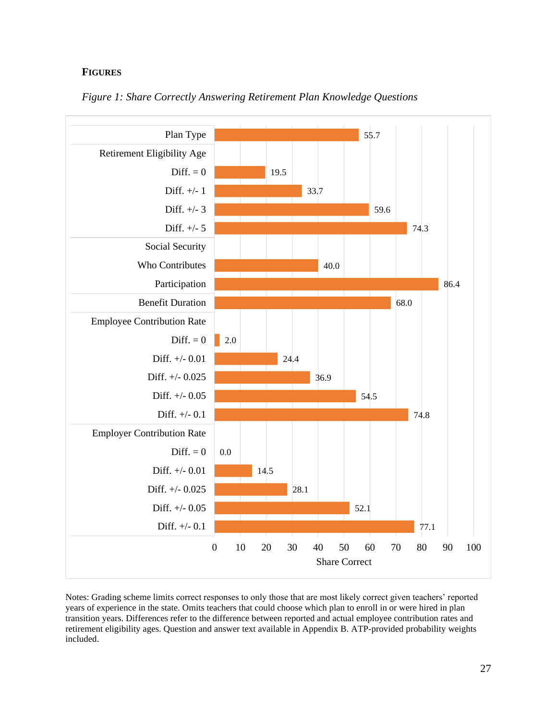### **FIGURES**



### *Figure 1: Share Correctly Answering Retirement Plan Knowledge Questions*

Notes: Grading scheme limits correct responses to only those that are most likely correct given teachers' reported years of experience in the state. Omits teachers that could choose which plan to enroll in or were hired in plan transition years. Differences refer to the difference between reported and actual employee contribution rates and retirement eligibility ages. Question and answer text available in Appendix B. ATP-provided probability weights included.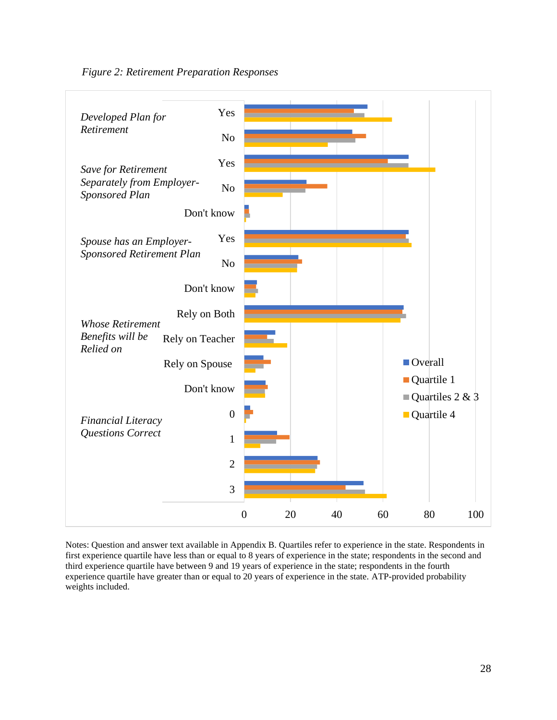



Notes: Question and answer text available in Appendix B. Quartiles refer to experience in the state. Respondents in first experience quartile have less than or equal to 8 years of experience in the state; respondents in the second and third experience quartile have between 9 and 19 years of experience in the state; respondents in the fourth experience quartile have greater than or equal to 20 years of experience in the state. ATP-provided probability weights included.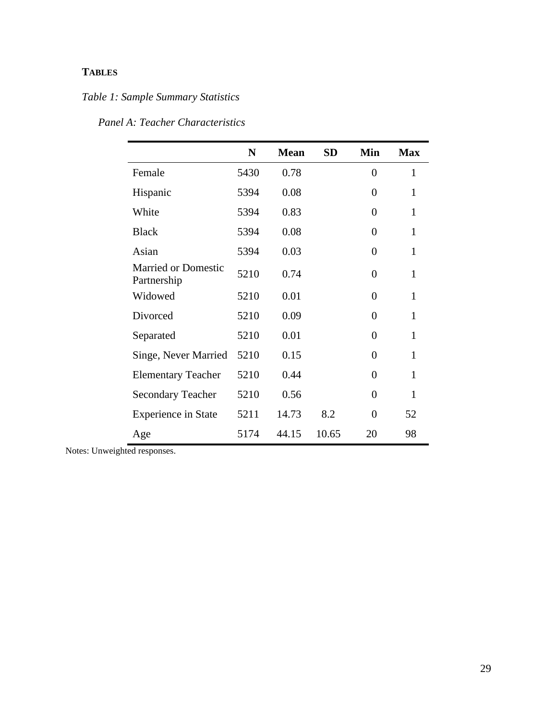## **TABLES**

# *Table 1: Sample Summary Statistics*

|                                           | N    | <b>Mean</b> | <b>SD</b> | Min            | <b>Max</b> |
|-------------------------------------------|------|-------------|-----------|----------------|------------|
| Female                                    | 5430 | 0.78        |           | $\theta$       | 1          |
| Hispanic                                  | 5394 | 0.08        |           | 0              | 1          |
| White                                     | 5394 | 0.83        |           | $\overline{0}$ | 1          |
| <b>Black</b>                              | 5394 | 0.08        |           | $\theta$       | 1          |
| Asian                                     | 5394 | 0.03        |           | 0              | 1          |
| <b>Married or Domestic</b><br>Partnership | 5210 | 0.74        |           | $\overline{0}$ | 1          |
| Widowed                                   | 5210 | 0.01        |           | $\theta$       | 1          |
| Divorced                                  | 5210 | 0.09        |           | $\overline{0}$ | 1          |
| Separated                                 | 5210 | 0.01        |           | $\theta$       | 1          |
| Singe, Never Married                      | 5210 | 0.15        |           | $\Omega$       | 1          |
| <b>Elementary Teacher</b>                 | 5210 | 0.44        |           | $\overline{0}$ | 1          |
| <b>Secondary Teacher</b>                  | 5210 | 0.56        |           | $\theta$       | 1          |
| <b>Experience in State</b>                | 5211 | 14.73       | 8.2       | 0              | 52         |
| Age                                       | 5174 | 44.15       | 10.65     | 20             | 98         |

*Panel A: Teacher Characteristics*

Notes: Unweighted responses.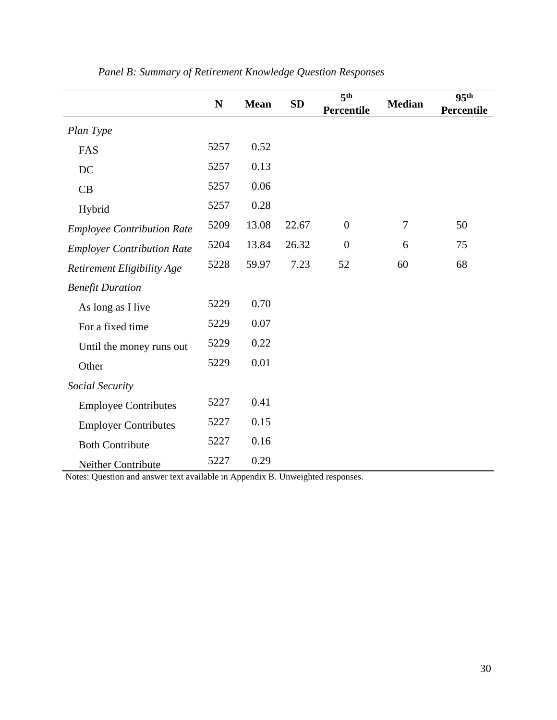|                                   | N    | <b>Mean</b> | <b>SD</b> | $\overline{5^{th}}$ | <b>Median</b> | 95 <sup>th</sup> |
|-----------------------------------|------|-------------|-----------|---------------------|---------------|------------------|
|                                   |      |             |           | Percentile          |               | Percentile       |
| Plan Type                         |      |             |           |                     |               |                  |
| FAS                               | 5257 | 0.52        |           |                     |               |                  |
| DC                                | 5257 | 0.13        |           |                     |               |                  |
| CB                                | 5257 | 0.06        |           |                     |               |                  |
| Hybrid                            | 5257 | 0.28        |           |                     |               |                  |
| <b>Employee Contribution Rate</b> | 5209 | 13.08       | 22.67     | $\overline{0}$      | 7             | 50               |
| <b>Employer Contribution Rate</b> | 5204 | 13.84       | 26.32     | $\boldsymbol{0}$    | 6             | 75               |
| Retirement Eligibility Age        | 5228 | 59.97       | 7.23      | 52                  | 60            | 68               |
| <b>Benefit Duration</b>           |      |             |           |                     |               |                  |
| As long as I live                 | 5229 | 0.70        |           |                     |               |                  |
| For a fixed time                  | 5229 | 0.07        |           |                     |               |                  |
| Until the money runs out          | 5229 | 0.22        |           |                     |               |                  |
| Other                             | 5229 | 0.01        |           |                     |               |                  |
| Social Security                   |      |             |           |                     |               |                  |
| <b>Employee Contributes</b>       | 5227 | 0.41        |           |                     |               |                  |
| <b>Employer Contributes</b>       | 5227 | 0.15        |           |                     |               |                  |
| <b>Both Contribute</b>            | 5227 | 0.16        |           |                     |               |                  |
| Neither Contribute                | 5227 | 0.29        |           |                     |               |                  |

## *Panel B: Summary of Retirement Knowledge Question Responses*

Notes: Question and answer text available in Appendix B. Unweighted responses.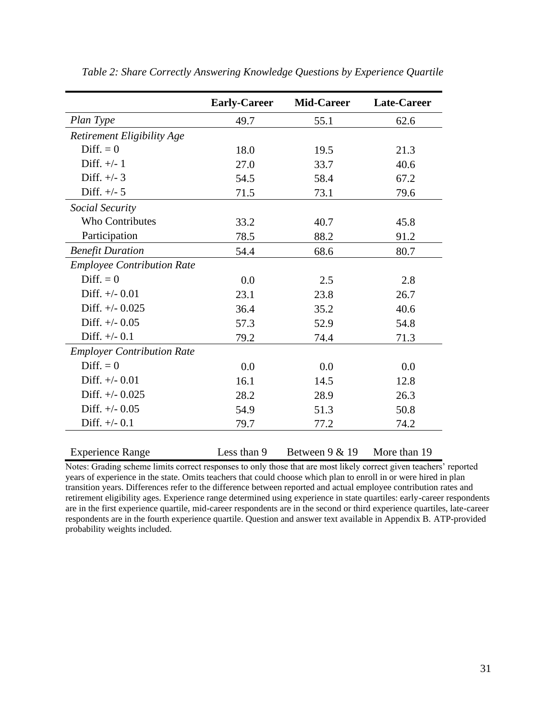|                                   | <b>Early-Career</b> | <b>Mid-Career</b> | <b>Late-Career</b> |
|-----------------------------------|---------------------|-------------------|--------------------|
| Plan Type                         | 49.7                | 55.1              | 62.6               |
| Retirement Eligibility Age        |                     |                   |                    |
| $Diff. = 0$                       | 18.0                | 19.5              | 21.3               |
| Diff. $+/- 1$                     | 27.0                | 33.7              | 40.6               |
| Diff. $+/- 3$                     | 54.5                | 58.4              | 67.2               |
| Diff. $+/- 5$                     | 71.5                | 73.1              | 79.6               |
| Social Security                   |                     |                   |                    |
| <b>Who Contributes</b>            | 33.2                | 40.7              | 45.8               |
| Participation                     | 78.5                | 88.2              | 91.2               |
| <b>Benefit Duration</b>           | 54.4                | 68.6              | 80.7               |
| <b>Employee Contribution Rate</b> |                     |                   |                    |
| $Diff. = 0$                       | 0.0                 | 2.5               | 2.8                |
| Diff. $+/-$ 0.01                  | 23.1                | 23.8              | 26.7               |
| Diff. $+/-$ 0.025                 | 36.4                | 35.2              | 40.6               |
| Diff. $+/-$ 0.05                  | 57.3                | 52.9              | 54.8               |
| Diff. $+/-$ 0.1                   | 79.2                | 74.4              | 71.3               |
| <b>Employer Contribution Rate</b> |                     |                   |                    |
| $Diff. = 0$                       | 0.0                 | 0.0               | 0.0                |
| Diff. $+/-$ 0.01                  | 16.1                | 14.5              | 12.8               |
| Diff. $+/-$ 0.025                 | 28.2                | 28.9              | 26.3               |
| Diff. $+/-$ 0.05                  | 54.9                | 51.3              | 50.8               |
| Diff. $+/-$ 0.1                   | 79.7                | 77.2              | 74.2               |
| <b>Experience Range</b>           | Less than 9         | Between $9 & 19$  | More than 19       |

*Table 2: Share Correctly Answering Knowledge Questions by Experience Quartile* 

Notes: Grading scheme limits correct responses to only those that are most likely correct given teachers' reported years of experience in the state. Omits teachers that could choose which plan to enroll in or were hired in plan transition years. Differences refer to the difference between reported and actual employee contribution rates and retirement eligibility ages. Experience range determined using experience in state quartiles: early-career respondents are in the first experience quartile, mid-career respondents are in the second or third experience quartiles, late-career respondents are in the fourth experience quartile. Question and answer text available in Appendix B. ATP-provided probability weights included.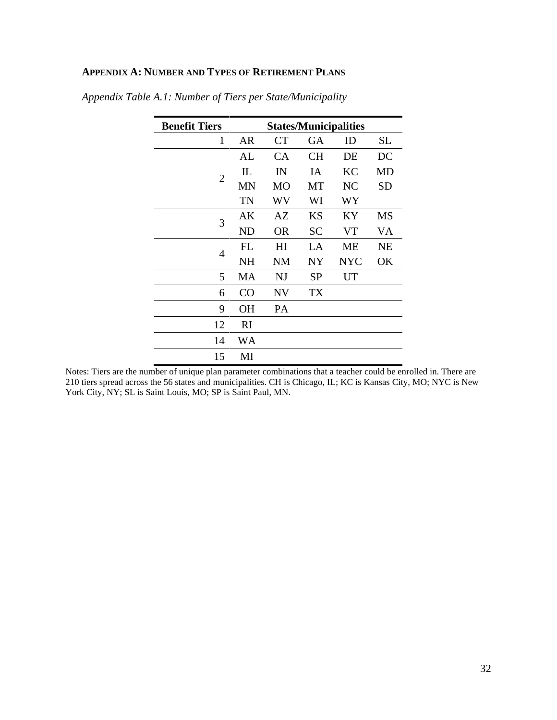## **APPENDIX A: NUMBER AND TYPES OF RETIREMENT PLANS**

| <b>Benefit Tiers</b> | <b>States/Municipalities</b> |                |           |            |           |
|----------------------|------------------------------|----------------|-----------|------------|-----------|
| 1                    | AR                           | <b>CT</b>      | GA        | ID         | <b>SL</b> |
|                      | AL                           | СA             | CН        | DE         | DC        |
| $\overline{2}$       | $\mathbf{L}$                 | IN             | IA        | <b>KC</b>  | MD        |
|                      | <b>MN</b>                    | <b>MO</b>      | MT        | NC         | <b>SD</b> |
|                      | TN                           | WV             | WI        | WY         |           |
| 3                    | AK                           | AZ             | <b>KS</b> | KY         | <b>MS</b> |
|                      | <b>ND</b>                    | <b>OR</b>      | <b>SC</b> | VT         | VA        |
| $\overline{4}$       | FL                           | H <sub>I</sub> | LA        | <b>ME</b>  | <b>NE</b> |
|                      | NH                           | <b>NM</b>      | NY        | <b>NYC</b> | OK        |
| 5                    | <b>MA</b>                    | NJ             | <b>SP</b> | UT         |           |
| 6                    | CO                           | <b>NV</b>      | TX        |            |           |
| 9                    | <b>OH</b>                    | PA             |           |            |           |
| 12                   | RI                           |                |           |            |           |
| 14                   | WA                           |                |           |            |           |
| 15                   | MI                           |                |           |            |           |

*Appendix Table A.1: Number of Tiers per State/Municipality*

Notes: Tiers are the number of unique plan parameter combinations that a teacher could be enrolled in. There are 210 tiers spread across the 56 states and municipalities. CH is Chicago, IL; KC is Kansas City, MO; NYC is New York City, NY; SL is Saint Louis, MO; SP is Saint Paul, MN.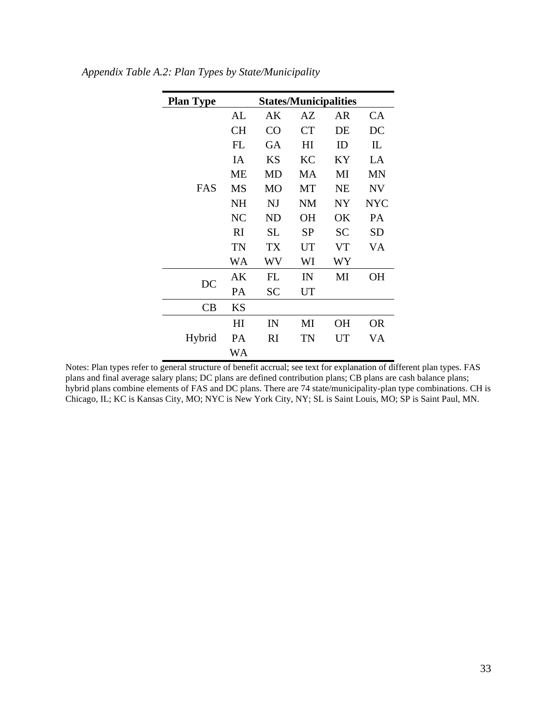| <b>Plan Type</b> | <b>States/Municipalities</b> |           |           |           |            |  |  |  |  |
|------------------|------------------------------|-----------|-----------|-----------|------------|--|--|--|--|
|                  | AL                           | AΚ        | AZ        | AR        | CA         |  |  |  |  |
|                  | <b>CH</b>                    | CO        | CT        | DE        | DC         |  |  |  |  |
|                  | FL                           | GA        | HI        | ID        | IL         |  |  |  |  |
|                  | IA                           | <b>KS</b> | KC        | KY        | LA         |  |  |  |  |
|                  | ME                           | <b>MD</b> | MA        | MI        | MN         |  |  |  |  |
| FAS              | <b>MS</b>                    | <b>MO</b> | MT        | <b>NE</b> | <b>NV</b>  |  |  |  |  |
|                  | <b>NH</b>                    | NJ        | NM        | NY        | <b>NYC</b> |  |  |  |  |
|                  | <b>NC</b>                    | <b>ND</b> | <b>OH</b> | OK        | PA         |  |  |  |  |
|                  | RI                           | <b>SL</b> | <b>SP</b> | <b>SC</b> | <b>SD</b>  |  |  |  |  |
|                  | TN                           | TX        | UT        | VT        | VA         |  |  |  |  |
|                  | WA                           | WV        | WI        | WY        |            |  |  |  |  |
| DC               | AK                           | FL        | IN        | MI        | OН         |  |  |  |  |
|                  | PA                           | <b>SC</b> | <b>UT</b> |           |            |  |  |  |  |
| CB               | <b>KS</b>                    |           |           |           |            |  |  |  |  |
|                  | H <sub>I</sub>               | IN        | MI        | <b>OH</b> | OR         |  |  |  |  |
| Hybrid           | PА                           | RI        | TN        | UT        | VA         |  |  |  |  |
|                  | WA                           |           |           |           |            |  |  |  |  |

*Appendix Table A.2: Plan Types by State/Municipality*

Notes: Plan types refer to general structure of benefit accrual; see text for explanation of different plan types. FAS plans and final average salary plans; DC plans are defined contribution plans; CB plans are cash balance plans; hybrid plans combine elements of FAS and DC plans. There are 74 state/municipality-plan type combinations. CH is Chicago, IL; KC is Kansas City, MO; NYC is New York City, NY; SL is Saint Louis, MO; SP is Saint Paul, MN.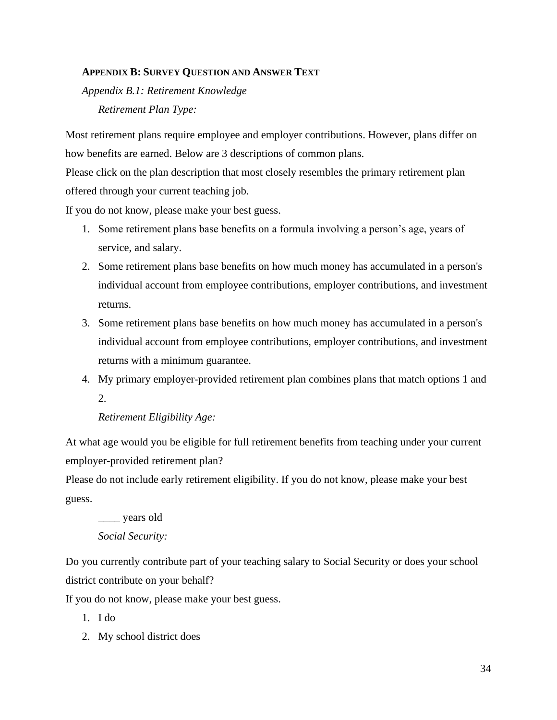### **APPENDIX B: SURVEY QUESTION AND ANSWER TEXT**

*Appendix B.1: Retirement Knowledge Retirement Plan Type:* 

Most retirement plans require employee and employer contributions. However, plans differ on how benefits are earned. Below are 3 descriptions of common plans.

Please click on the plan description that most closely resembles the primary retirement plan offered through your current teaching job.

If you do not know, please make your best guess.

- 1. Some retirement plans base benefits on a formula involving a person's age, years of service, and salary.
- 2. Some retirement plans base benefits on how much money has accumulated in a person's individual account from employee contributions, employer contributions, and investment returns.
- 3. Some retirement plans base benefits on how much money has accumulated in a person's individual account from employee contributions, employer contributions, and investment returns with a minimum guarantee.
- 4. My primary employer-provided retirement plan combines plans that match options 1 and  $2<sub>1</sub>$

## *Retirement Eligibility Age:*

At what age would you be eligible for full retirement benefits from teaching under your current employer-provided retirement plan?

Please do not include early retirement eligibility. If you do not know, please make your best guess.

\_\_\_\_ years old

## *Social Security:*

Do you currently contribute part of your teaching salary to Social Security or does your school district contribute on your behalf?

If you do not know, please make your best guess.

- 1. I do
- 2. My school district does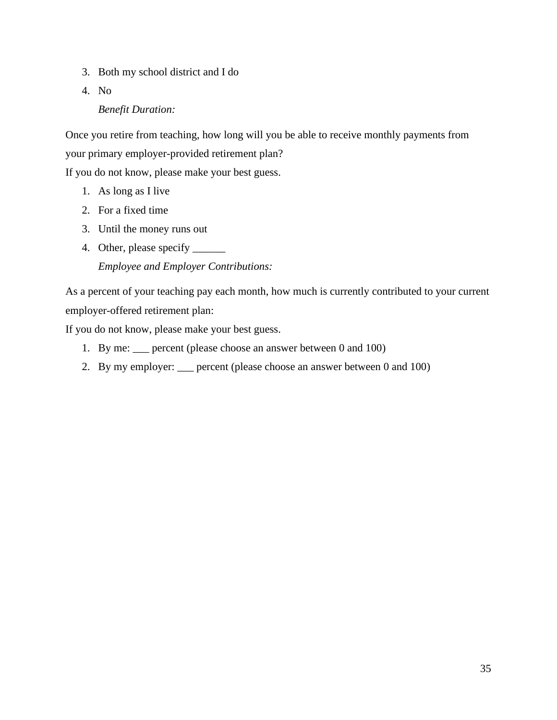- 3. Both my school district and I do
- 4. No

## *Benefit Duration:*

Once you retire from teaching, how long will you be able to receive monthly payments from your primary employer-provided retirement plan?

If you do not know, please make your best guess.

- 1. As long as I live
- 2. For a fixed time
- 3. Until the money runs out
- 4. Other, please specify \_\_\_\_\_\_ *Employee and Employer Contributions:*

As a percent of your teaching pay each month, how much is currently contributed to your current employer-offered retirement plan:

If you do not know, please make your best guess.

- 1. By me: \_\_\_ percent (please choose an answer between 0 and 100)
- 2. By my employer: \_\_\_ percent (please choose an answer between 0 and 100)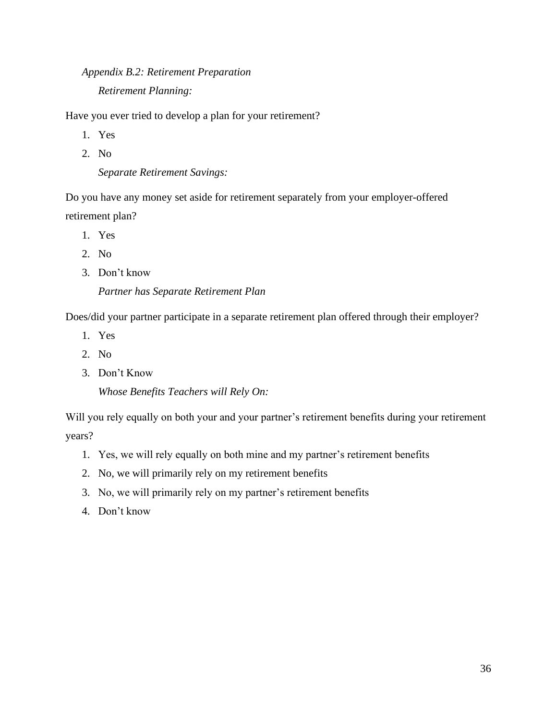## *Appendix B.2: Retirement Preparation Retirement Planning:*

Have you ever tried to develop a plan for your retirement?

- 1. Yes
- 2. No

*Separate Retirement Savings:*

Do you have any money set aside for retirement separately from your employer-offered retirement plan?

- 1. Yes
- 2. No
- 3. Don't know

## *Partner has Separate Retirement Plan*

Does/did your partner participate in a separate retirement plan offered through their employer?

- 1. Yes
- 2. No
- 3. Don't Know

*Whose Benefits Teachers will Rely On:*

Will you rely equally on both your and your partner's retirement benefits during your retirement years?

- 1. Yes, we will rely equally on both mine and my partner's retirement benefits
- 2. No, we will primarily rely on my retirement benefits
- 3. No, we will primarily rely on my partner's retirement benefits
- 4. Don't know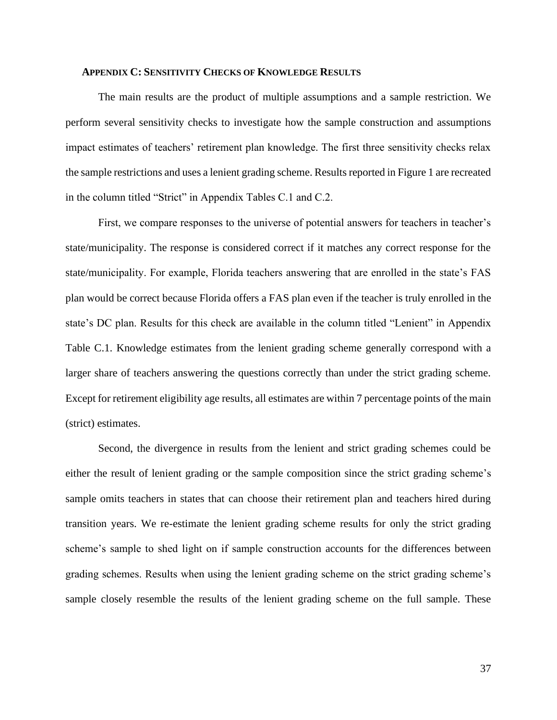### **APPENDIX C: SENSITIVITY CHECKS OF KNOWLEDGE RESULTS**

The main results are the product of multiple assumptions and a sample restriction. We perform several sensitivity checks to investigate how the sample construction and assumptions impact estimates of teachers' retirement plan knowledge. The first three sensitivity checks relax the sample restrictions and uses a lenient grading scheme. Results reported in Figure 1 are recreated in the column titled "Strict" in Appendix Tables C.1 and C.2.

First, we compare responses to the universe of potential answers for teachers in teacher's state/municipality. The response is considered correct if it matches any correct response for the state/municipality. For example, Florida teachers answering that are enrolled in the state's FAS plan would be correct because Florida offers a FAS plan even if the teacher is truly enrolled in the state's DC plan. Results for this check are available in the column titled "Lenient" in Appendix Table C.1. Knowledge estimates from the lenient grading scheme generally correspond with a larger share of teachers answering the questions correctly than under the strict grading scheme. Except for retirement eligibility age results, all estimates are within 7 percentage points of the main (strict) estimates.

Second, the divergence in results from the lenient and strict grading schemes could be either the result of lenient grading or the sample composition since the strict grading scheme's sample omits teachers in states that can choose their retirement plan and teachers hired during transition years. We re-estimate the lenient grading scheme results for only the strict grading scheme's sample to shed light on if sample construction accounts for the differences between grading schemes. Results when using the lenient grading scheme on the strict grading scheme's sample closely resemble the results of the lenient grading scheme on the full sample. These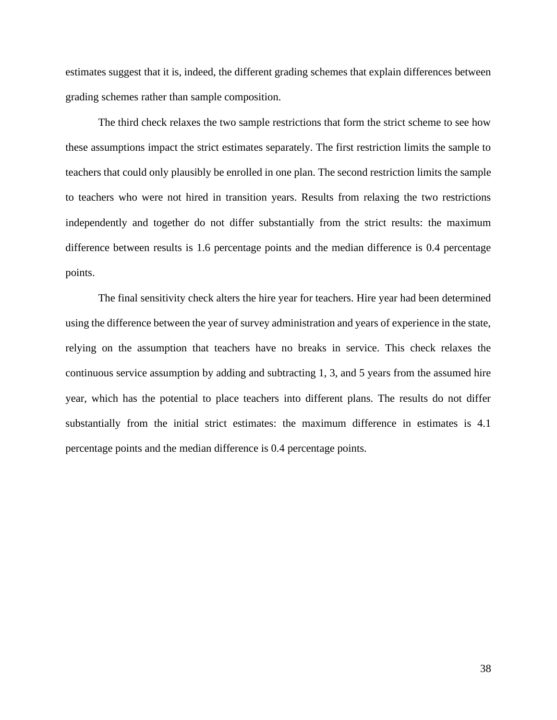estimates suggest that it is, indeed, the different grading schemes that explain differences between grading schemes rather than sample composition.

The third check relaxes the two sample restrictions that form the strict scheme to see how these assumptions impact the strict estimates separately. The first restriction limits the sample to teachers that could only plausibly be enrolled in one plan. The second restriction limits the sample to teachers who were not hired in transition years. Results from relaxing the two restrictions independently and together do not differ substantially from the strict results: the maximum difference between results is 1.6 percentage points and the median difference is 0.4 percentage points.

The final sensitivity check alters the hire year for teachers. Hire year had been determined using the difference between the year of survey administration and years of experience in the state, relying on the assumption that teachers have no breaks in service. This check relaxes the continuous service assumption by adding and subtracting 1, 3, and 5 years from the assumed hire year, which has the potential to place teachers into different plans. The results do not differ substantially from the initial strict estimates: the maximum difference in estimates is 4.1 percentage points and the median difference is 0.4 percentage points.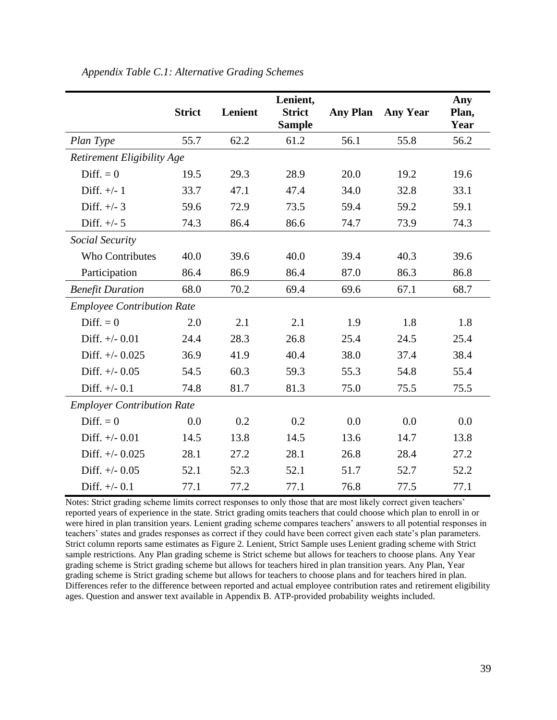|                                   | <b>Strict</b>                     | Lenient | Lenient,<br><b>Strict</b><br><b>Sample</b> | <b>Any Plan</b> | <b>Any Year</b> | Any<br>Plan,<br>Year |  |  |
|-----------------------------------|-----------------------------------|---------|--------------------------------------------|-----------------|-----------------|----------------------|--|--|
| Plan Type                         | 55.7                              | 62.2    | 61.2                                       | 56.1            | 55.8            | 56.2                 |  |  |
| Retirement Eligibility Age        |                                   |         |                                            |                 |                 |                      |  |  |
| $Diff. = 0$                       | 19.5                              | 29.3    | 28.9                                       | 20.0            | 19.2            | 19.6                 |  |  |
| Diff. $+/- 1$                     | 33.7                              | 47.1    | 47.4                                       | 34.0            | 32.8            | 33.1                 |  |  |
| Diff. $+/- 3$                     | 59.6                              | 72.9    | 73.5                                       | 59.4            | 59.2            | 59.1                 |  |  |
| Diff. $+/- 5$                     | 74.3                              | 86.4    | 86.6                                       | 74.7            | 73.9            | 74.3                 |  |  |
| Social Security                   |                                   |         |                                            |                 |                 |                      |  |  |
| <b>Who Contributes</b>            | 40.0                              | 39.6    | 40.0                                       | 39.4            | 40.3            | 39.6                 |  |  |
| Participation                     | 86.4                              | 86.9    | 86.4                                       | 87.0            | 86.3            | 86.8                 |  |  |
| <b>Benefit Duration</b>           | 68.0                              | 70.2    | 69.4                                       | 69.6            | 67.1            | 68.7                 |  |  |
|                                   | <b>Employee Contribution Rate</b> |         |                                            |                 |                 |                      |  |  |
| Diff. $= 0$                       | 2.0                               | 2.1     | 2.1                                        | 1.9             | 1.8             | 1.8                  |  |  |
| Diff. $+/-$ 0.01                  | 24.4                              | 28.3    | 26.8                                       | 25.4            | 24.5            | 25.4                 |  |  |
| Diff. $+/-$ 0.025                 | 36.9                              | 41.9    | 40.4                                       | 38.0            | 37.4            | 38.4                 |  |  |
| Diff. $+/-$ 0.05                  | 54.5                              | 60.3    | 59.3                                       | 55.3            | 54.8            | 55.4                 |  |  |
| Diff. $+/-$ 0.1                   | 74.8                              | 81.7    | 81.3                                       | 75.0            | 75.5            | 75.5                 |  |  |
| <b>Employer Contribution Rate</b> |                                   |         |                                            |                 |                 |                      |  |  |
| Diff. $= 0$                       | 0.0                               | 0.2     | 0.2                                        | 0.0             | 0.0             | 0.0                  |  |  |
| Diff. $+/-$ 0.01                  | 14.5                              | 13.8    | 14.5                                       | 13.6            | 14.7            | 13.8                 |  |  |
| Diff. $+/-$ 0.025                 | 28.1                              | 27.2    | 28.1                                       | 26.8            | 28.4            | 27.2                 |  |  |
| Diff. $+/-$ 0.05                  | 52.1                              | 52.3    | 52.1                                       | 51.7            | 52.7            | 52.2                 |  |  |
| Diff. $+/-$ 0.1                   | 77.1                              | 77.2    | 77.1                                       | 76.8            | 77.5            | 77.1                 |  |  |

*Appendix Table C.1: Alternative Grading Schemes*

Notes: Strict grading scheme limits correct responses to only those that are most likely correct given teachers' reported years of experience in the state. Strict grading omits teachers that could choose which plan to enroll in or were hired in plan transition years. Lenient grading scheme compares teachers' answers to all potential responses in teachers' states and grades responses as correct if they could have been correct given each state's plan parameters. Strict column reports same estimates as Figure 2. Lenient, Strict Sample uses Lenient grading scheme with Strict sample restrictions. Any Plan grading scheme is Strict scheme but allows for teachers to choose plans. Any Year grading scheme is Strict grading scheme but allows for teachers hired in plan transition years. Any Plan, Year grading scheme is Strict grading scheme but allows for teachers to choose plans and for teachers hired in plan. Differences refer to the difference between reported and actual employee contribution rates and retirement eligibility ages. Question and answer text available in Appendix B. ATP-provided probability weights included.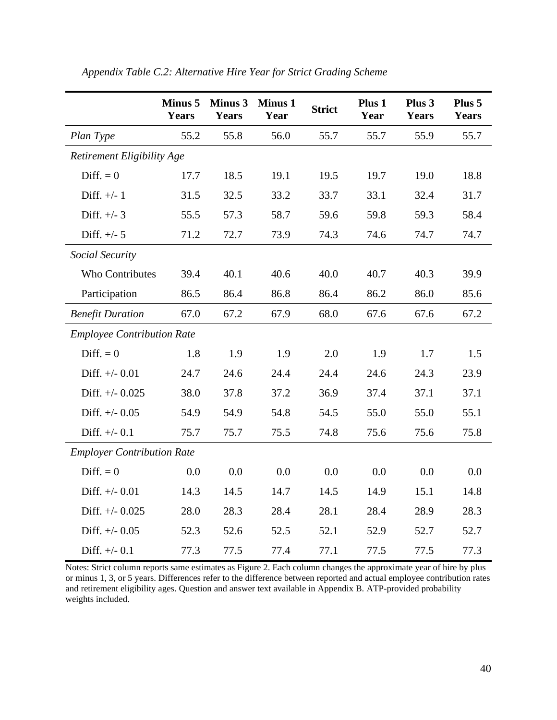|                                   | <b>Minus 5</b><br>Years | <b>Minus 3</b><br><b>Years</b> | <b>Minus 1</b><br>Year | <b>Strict</b> | Plus 1<br>Year | Plus 3<br><b>Years</b> | Plus 5<br><b>Years</b> |
|-----------------------------------|-------------------------|--------------------------------|------------------------|---------------|----------------|------------------------|------------------------|
| Plan Type                         | 55.2                    | 55.8                           | 56.0                   | 55.7          | 55.7           | 55.9                   | 55.7                   |
| Retirement Eligibility Age        |                         |                                |                        |               |                |                        |                        |
| Diff. $= 0$                       | 17.7                    | 18.5                           | 19.1                   | 19.5          | 19.7           | 19.0                   | 18.8                   |
| Diff. $+/- 1$                     | 31.5                    | 32.5                           | 33.2                   | 33.7          | 33.1           | 32.4                   | 31.7                   |
| Diff. $+/- 3$                     | 55.5                    | 57.3                           | 58.7                   | 59.6          | 59.8           | 59.3                   | 58.4                   |
| Diff. $+/- 5$                     | 71.2                    | 72.7                           | 73.9                   | 74.3          | 74.6           | 74.7                   | 74.7                   |
| Social Security                   |                         |                                |                        |               |                |                        |                        |
| Who Contributes                   | 39.4                    | 40.1                           | 40.6                   | 40.0          | 40.7           | 40.3                   | 39.9                   |
| Participation                     | 86.5                    | 86.4                           | 86.8                   | 86.4          | 86.2           | 86.0                   | 85.6                   |
| <b>Benefit Duration</b>           | 67.0                    | 67.2                           | 67.9                   | 68.0          | 67.6           | 67.6                   | 67.2                   |
| <b>Employee Contribution Rate</b> |                         |                                |                        |               |                |                        |                        |
| Diff. $= 0$                       | 1.8                     | 1.9                            | 1.9                    | 2.0           | 1.9            | 1.7                    | 1.5                    |
| Diff. $+/-$ 0.01                  | 24.7                    | 24.6                           | 24.4                   | 24.4          | 24.6           | 24.3                   | 23.9                   |
| Diff. $+/- 0.025$                 | 38.0                    | 37.8                           | 37.2                   | 36.9          | 37.4           | 37.1                   | 37.1                   |
| Diff. $+/-$ 0.05                  | 54.9                    | 54.9                           | 54.8                   | 54.5          | 55.0           | 55.0                   | 55.1                   |
| Diff. $+/-$ 0.1                   | 75.7                    | 75.7                           | 75.5                   | 74.8          | 75.6           | 75.6                   | 75.8                   |
| <b>Employer Contribution Rate</b> |                         |                                |                        |               |                |                        |                        |
| Diff. $= 0$                       | 0.0                     | 0.0                            | 0.0                    | 0.0           | 0.0            | 0.0                    | 0.0                    |
| Diff. $+/-$ 0.01                  | 14.3                    | 14.5                           | 14.7                   | 14.5          | 14.9           | 15.1                   | 14.8                   |
| Diff. $+/- 0.025$                 | 28.0                    | 28.3                           | 28.4                   | 28.1          | 28.4           | 28.9                   | 28.3                   |
| Diff. $+/-$ 0.05                  | 52.3                    | 52.6                           | 52.5                   | 52.1          | 52.9           | 52.7                   | 52.7                   |
| Diff. $+/-$ 0.1                   | 77.3                    | 77.5                           | 77.4                   | 77.1          | 77.5           | 77.5                   | 77.3                   |

*Appendix Table C.2: Alternative Hire Year for Strict Grading Scheme*

Notes: Strict column reports same estimates as Figure 2. Each column changes the approximate year of hire by plus or minus 1, 3, or 5 years. Differences refer to the difference between reported and actual employee contribution rates and retirement eligibility ages. Question and answer text available in Appendix B. ATP-provided probability weights included.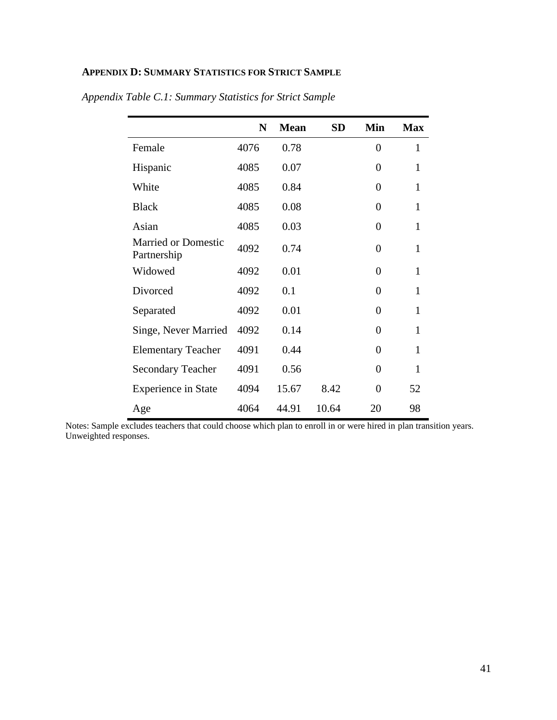## **APPENDIX D: SUMMARY STATISTICS FOR STRICT SAMPLE**

|                                           | N    | <b>Mean</b> | <b>SD</b> | Min              | <b>Max</b>   |
|-------------------------------------------|------|-------------|-----------|------------------|--------------|
| Female                                    | 4076 | 0.78        |           | $\theta$         | 1            |
| Hispanic                                  | 4085 | 0.07        |           | $\overline{0}$   | 1            |
| White                                     | 4085 | 0.84        |           | 0                | $\mathbf{1}$ |
| <b>Black</b>                              | 4085 | 0.08        |           | 0                | 1            |
| Asian                                     | 4085 | 0.03        |           | $\boldsymbol{0}$ | $\mathbf{1}$ |
| <b>Married or Domestic</b><br>Partnership | 4092 | 0.74        |           | $\overline{0}$   | $\mathbf{1}$ |
| Widowed                                   | 4092 | 0.01        |           | 0                | $\mathbf{1}$ |
| Divorced                                  | 4092 | 0.1         |           | $\overline{0}$   | $\mathbf{1}$ |
| Separated                                 | 4092 | 0.01        |           | 0                | 1            |
| Singe, Never Married                      | 4092 | 0.14        |           | $\theta$         | 1            |
| <b>Elementary Teacher</b>                 | 4091 | 0.44        |           | 0                | 1            |
| <b>Secondary Teacher</b>                  | 4091 | 0.56        |           | 0                | 1            |
| <b>Experience in State</b>                | 4094 | 15.67       | 8.42      | 0                | 52           |
| Age                                       | 4064 | 44.91       | 10.64     | 20               | 98           |

*Appendix Table C.1: Summary Statistics for Strict Sample*

Notes: Sample excludes teachers that could choose which plan to enroll in or were hired in plan transition years. Unweighted responses.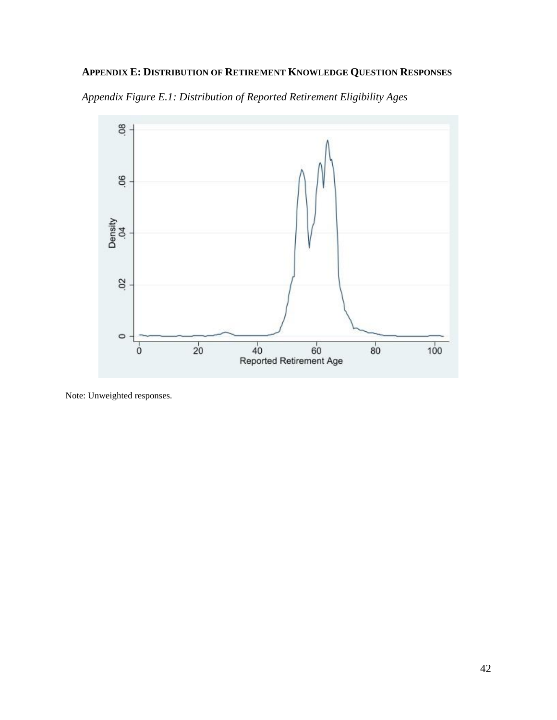## **APPENDIX E: DISTRIBUTION OF RETIREMENT KNOWLEDGE QUESTION RESPONSES**



*Appendix Figure E.1: Distribution of Reported Retirement Eligibility Ages*

Note: Unweighted responses.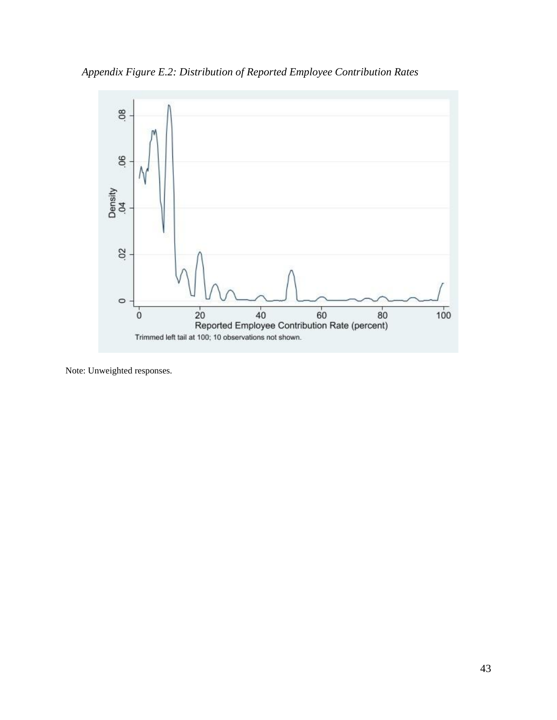*Appendix Figure E.2: Distribution of Reported Employee Contribution Rates*



Note: Unweighted responses.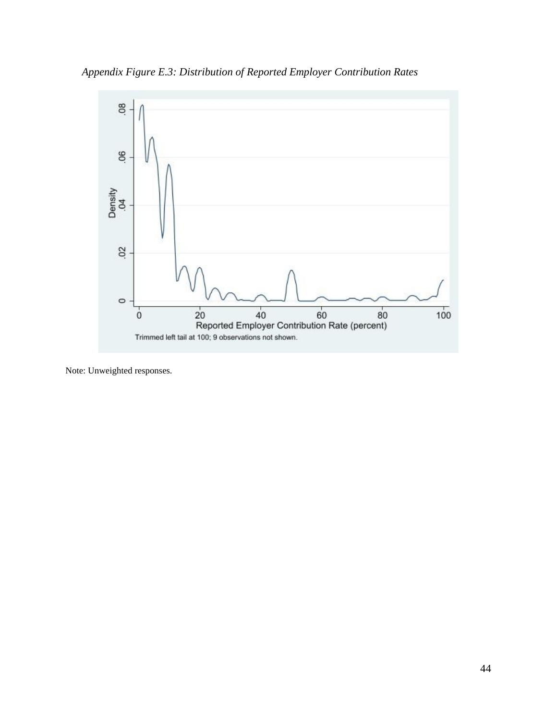*Appendix Figure E.3: Distribution of Reported Employer Contribution Rates*



Note: Unweighted responses.